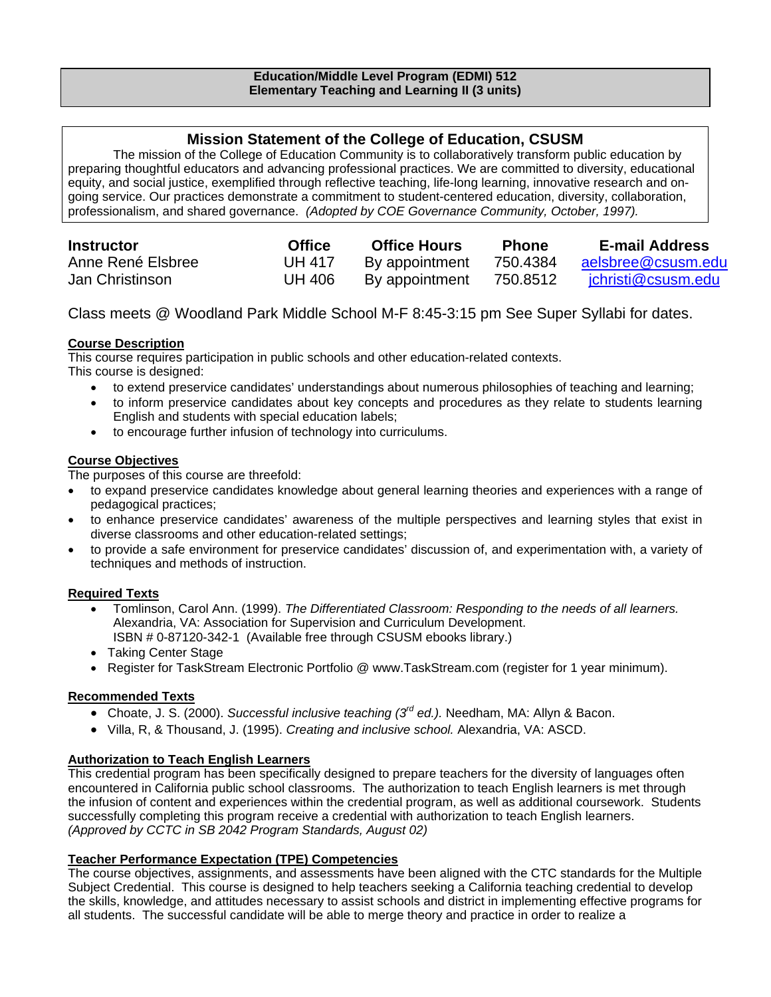## **Mission Statement of the College of Education, CSUSM**

The mission of the College of Education Community is to collaboratively transform public education by preparing thoughtful educators and advancing professional practices. We are committed to diversity, educational equity, and social justice, exemplified through reflective teaching, life-long learning, innovative research and ongoing service. Our practices demonstrate a commitment to student-centered education, diversity, collaboration, professionalism, and shared governance. *(Adopted by COE Governance Community, October, 1997).*

| <b>Instructor</b> | <b>Office</b> | <b>Office Hours</b> | <b>Phone</b> | <b>E-mail Address</b> |
|-------------------|---------------|---------------------|--------------|-----------------------|
| Anne René Elsbree | <b>UH 417</b> | By appointment      | 750.4384     | aelsbree@csusm.edu    |
| Jan Christinson   | UH 406        | By appointment      | 750.8512     | jchristi@csusm.edu    |

Class meets @ Woodland Park Middle School M-F 8:45-3:15 pm See Super Syllabi for dates.

## **Course Description**

This course requires participation in public schools and other education-related contexts. This course is designed:

- to extend preservice candidates' understandings about numerous philosophies of teaching and learning;
- to inform preservice candidates about key concepts and procedures as they relate to students learning English and students with special education labels;
- to encourage further infusion of technology into curriculums.

## **Course Objectives**

The purposes of this course are threefold:

- to expand preservice candidates knowledge about general learning theories and experiences with a range of pedagogical practices;
- to enhance preservice candidates' awareness of the multiple perspectives and learning styles that exist in diverse classrooms and other education-related settings;
- to provide a safe environment for preservice candidates' discussion of, and experimentation with, a variety of techniques and methods of instruction.

## **Required Texts**

- Tomlinson, Carol Ann. (1999). *The Differentiated Classroom: Responding to the needs of all learners.*  Alexandria, VA: Association for Supervision and Curriculum Development. ISBN # 0-87120-342-1 (Available free through CSUSM ebooks library.)
- Taking Center Stage
- Register for TaskStream Electronic Portfolio @ www.TaskStream.com (register for 1 year minimum).

## **Recommended Texts**

- Choate, J. S. (2000). *Successful inclusive teaching (3rd ed.).* Needham, MA: Allyn & Bacon.
- Villa, R, & Thousand, J. (1995). *Creating and inclusive school.* Alexandria, VA: ASCD.

## **Authorization to Teach English Learners**

This credential program has been specifically designed to prepare teachers for the diversity of languages often encountered in California public school classrooms. The authorization to teach English learners is met through the infusion of content and experiences within the credential program, as well as additional coursework. Students successfully completing this program receive a credential with authorization to teach English learners. *(Approved by CCTC in SB 2042 Program Standards, August 02)*

#### **Teacher Performance Expectation (TPE) Competencies**

The course objectives, assignments, and assessments have been aligned with the CTC standards for the Multiple Subject Credential. This course is designed to help teachers seeking a California teaching credential to develop the skills, knowledge, and attitudes necessary to assist schools and district in implementing effective programs for all students. The successful candidate will be able to merge theory and practice in order to realize a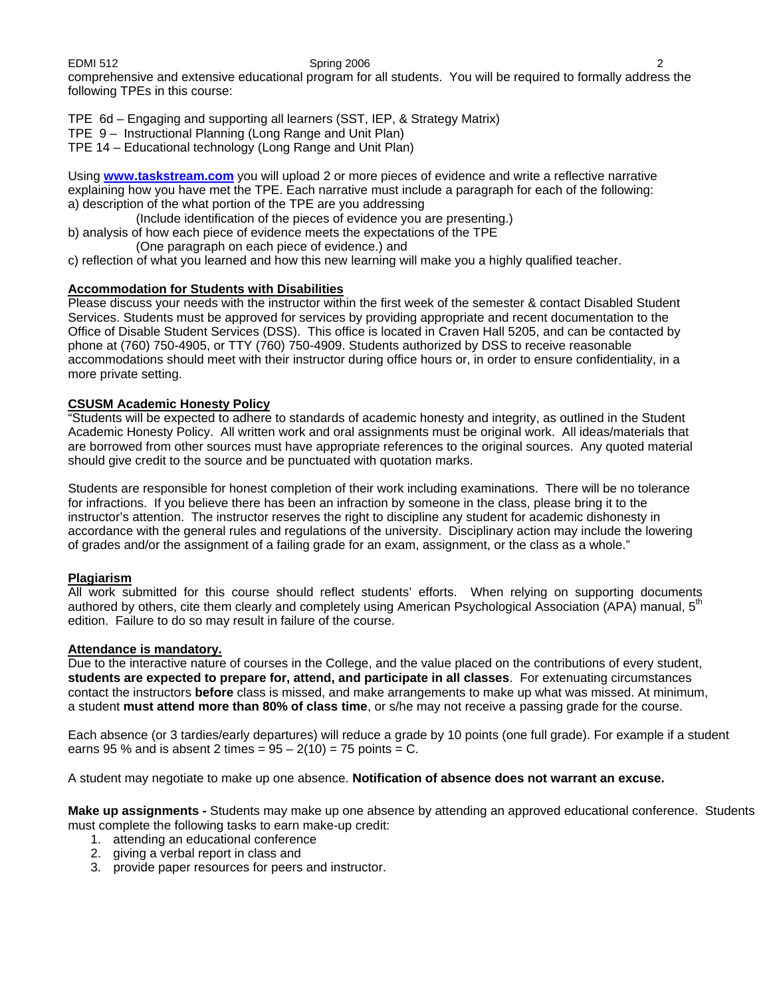EDMI 512 Spring 2006 2 comprehensive and extensive educational program for all students. You will be required to formally address the following TPEs in this course:

TPE 6d – Engaging and supporting all learners (SST, IEP, & Strategy Matrix)

TPE 9 – Instructional Planning (Long Range and Unit Plan)

TPE 14 – Educational technology (Long Range and Unit Plan)

Using **www.taskstream.com** you will upload 2 or more pieces of evidence and write a reflective narrative explaining how you have met the TPE. Each narrative must include a paragraph for each of the following: a) description of the what portion of the TPE are you addressing

- (Include identification of the pieces of evidence you are presenting.)
- b) analysis of how each piece of evidence meets the expectations of the TPE (One paragraph on each piece of evidence.) and
- c) reflection of what you learned and how this new learning will make you a highly qualified teacher.

#### **Accommodation for Students with Disabilities**

Please discuss your needs with the instructor within the first week of the semester & contact Disabled Student Services. Students must be approved for services by providing appropriate and recent documentation to the Office of Disable Student Services (DSS). This office is located in Craven Hall 5205, and can be contacted by phone at (760) 750-4905, or TTY (760) 750-4909. Students authorized by DSS to receive reasonable accommodations should meet with their instructor during office hours or, in order to ensure confidentiality, in a more private setting.

#### **CSUSM Academic Honesty Policy**

"Students will be expected to adhere to standards of academic honesty and integrity, as outlined in the Student Academic Honesty Policy. All written work and oral assignments must be original work. All ideas/materials that are borrowed from other sources must have appropriate references to the original sources. Any quoted material should give credit to the source and be punctuated with quotation marks.

Students are responsible for honest completion of their work including examinations. There will be no tolerance for infractions. If you believe there has been an infraction by someone in the class, please bring it to the instructor's attention. The instructor reserves the right to discipline any student for academic dishonesty in accordance with the general rules and regulations of the university. Disciplinary action may include the lowering of grades and/or the assignment of a failing grade for an exam, assignment, or the class as a whole."

#### **Plagiarism**

All work submitted for this course should reflect students' efforts. When relying on supporting documents authored by others, cite them clearly and completely using American Psychological Association (APA) manual, 5<sup>th</sup> edition. Failure to do so may result in failure of the course.

#### **Attendance is mandatory.**

Due to the interactive nature of courses in the College, and the value placed on the contributions of every student, **students are expected to prepare for, attend, and participate in all classes**. For extenuating circumstances contact the instructors **before** class is missed, and make arrangements to make up what was missed. At minimum, a student **must attend more than 80% of class time**, or s/he may not receive a passing grade for the course.

Each absence (or 3 tardies/early departures) will reduce a grade by 10 points (one full grade). For example if a student earns 95 % and is absent 2 times =  $95 - 2(10) = 75$  points = C.

A student may negotiate to make up one absence. **Notification of absence does not warrant an excuse.** 

**Make up assignments -** Students may make up one absence by attending an approved educational conference. Students must complete the following tasks to earn make-up credit:

- 1. attending an educational conference
- 2. giving a verbal report in class and
- 3. provide paper resources for peers and instructor.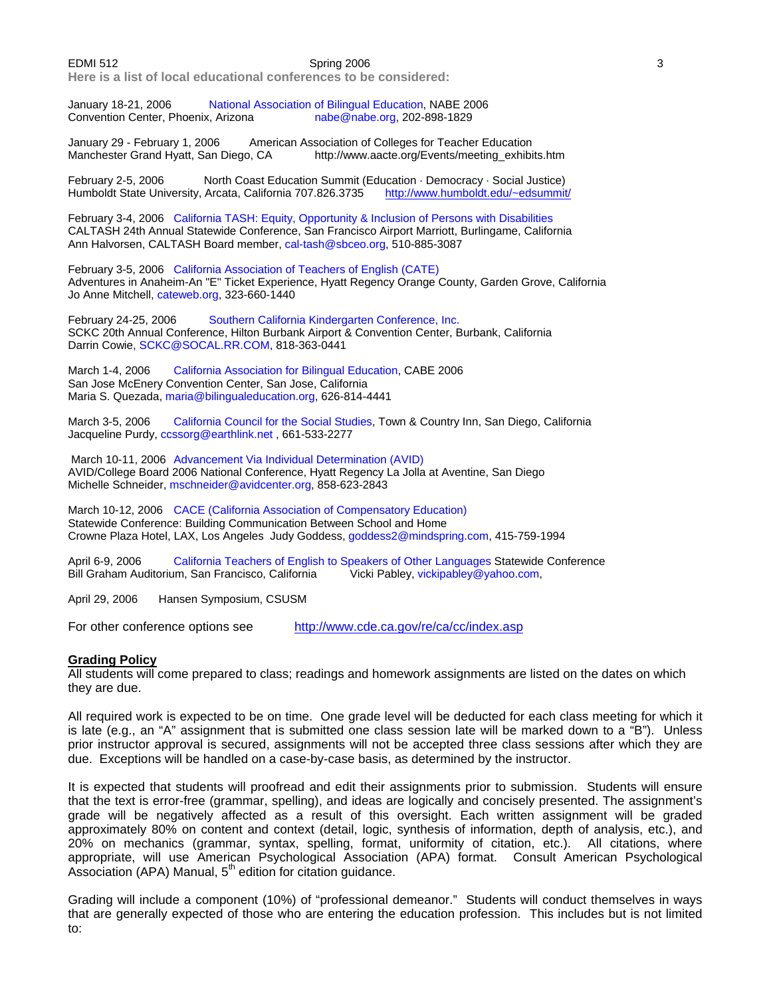**Here is a list of local educational conferences to be considered:** 

January 18-21, 2006 National Association of Bilingual Education, NABE 2006<br>Convention Center, Phoenix, Arizona nabe@nabe.org, 202-898-1829 Convention Center, Phoenix, Arizona

January 29 - February 1, 2006 American Association of Colleges for Teacher Education Manchester Grand Hyatt, San Diego, CA http://www.aacte.org/Events/meeting\_exhibits.htm

February 2-5, 2006 North Coast Education Summit (Education · Democracy · Social Justice) Humboldt State University, Arcata, California 707.826.3735

February 3-4, 2006 California TASH: Equity, Opportunity & Inclusion of Persons with Disabilities CALTASH 24th Annual Statewide Conference, San Francisco Airport Marriott, Burlingame, California Ann Halvorsen, CALTASH Board member, cal-tash@sbceo.org, 510-885-3087

February 3-5, 2006 California Association of Teachers of English (CATE) Adventures in Anaheim-An "E" Ticket Experience, Hyatt Regency Orange County, Garden Grove, California Jo Anne Mitchell, cateweb.org, 323-660-1440

February 24-25, 2006 Southern California Kindergarten Conference, Inc. SCKC 20th Annual Conference, Hilton Burbank Airport & Convention Center, Burbank, California Darrin Cowie, SCKC@SOCAL.RR.COM, 818-363-0441

March 1-4, 2006 California Association for Bilingual Education, CABE 2006 San Jose McEnery Convention Center, San Jose, California Maria S. Quezada, maria@bilingualeducation.org, 626-814-4441

March 3-5, 2006 California Council for the Social Studies, Town & Country Inn, San Diego, California Jacqueline Purdy, ccssorg@earthlink.net , 661-533-2277

 March 10-11, 2006 Advancement Via Individual Determination (AVID) AVID/College Board 2006 National Conference, Hyatt Regency La Jolla at Aventine, San Diego Michelle Schneider, mschneider@avidcenter.org, 858-623-2843

March 10-12, 2006 CACE (California Association of Compensatory Education) Statewide Conference: Building Communication Between School and Home Crowne Plaza Hotel, LAX, Los Angeles Judy Goddess, goddess2@mindspring.com, 415-759-1994

April 6-9, 2006 California Teachers of English to Speakers of Other Languages Statewide Conference Bill Graham Auditorium, San Francisco, California Vicki Pabley, vickipabley@yahoo.com,

April 29, 2006 Hansen Symposium, CSUSM

For other conference options see http://www.cde.ca.gov/re/ca/cc/index.asp

#### **Grading Policy**

All students will come prepared to class; readings and homework assignments are listed on the dates on which they are due.

All required work is expected to be on time. One grade level will be deducted for each class meeting for which it is late (e.g., an "A" assignment that is submitted one class session late will be marked down to a "B"). Unless prior instructor approval is secured, assignments will not be accepted three class sessions after which they are due. Exceptions will be handled on a case-by-case basis, as determined by the instructor.

It is expected that students will proofread and edit their assignments prior to submission. Students will ensure that the text is error-free (grammar, spelling), and ideas are logically and concisely presented. The assignment's grade will be negatively affected as a result of this oversight. Each written assignment will be graded approximately 80% on content and context (detail, logic, synthesis of information, depth of analysis, etc.), and 20% on mechanics (grammar, syntax, spelling, format, uniformity of citation, etc.). All citations, where appropriate, will use American Psychological Association (APA) format. Consult American Psychological Association (APA) Manual,  $5<sup>th</sup>$  edition for citation guidance.

Grading will include a component (10%) of "professional demeanor." Students will conduct themselves in ways that are generally expected of those who are entering the education profession. This includes but is not limited to: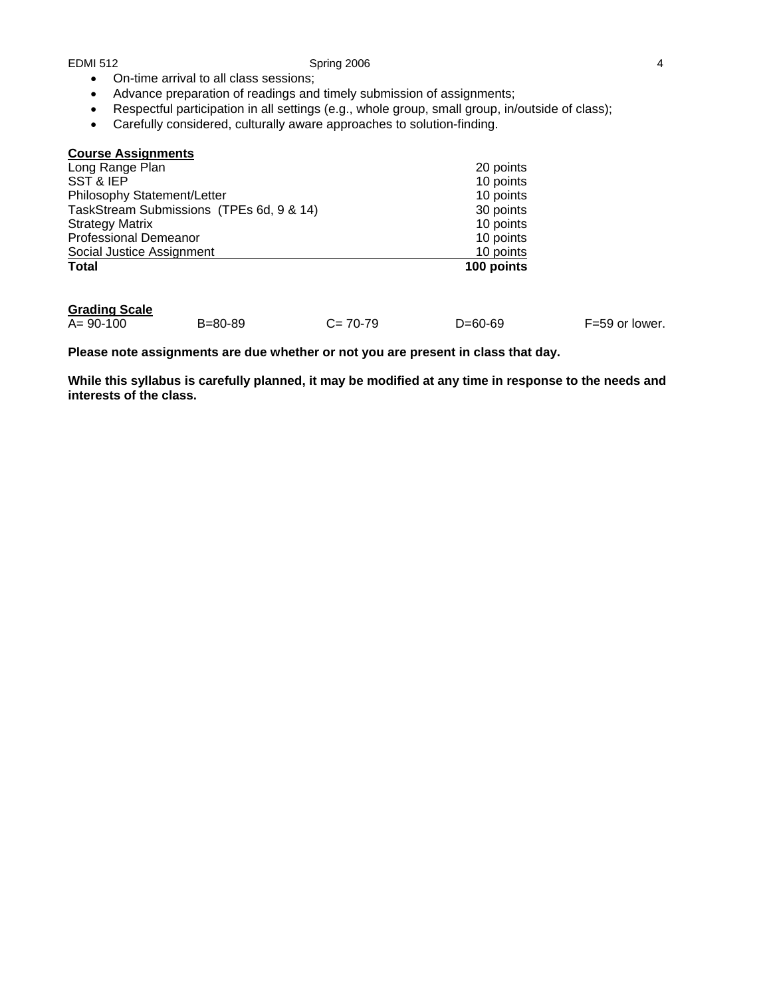- On-time arrival to all class sessions;
- Advance preparation of readings and timely submission of assignments;
- Respectful participation in all settings (e.g., whole group, small group, in/outside of class);
- Carefully considered, culturally aware approaches to solution-finding.

| <b>Course Assignments</b>                |            |
|------------------------------------------|------------|
| Long Range Plan                          | 20 points  |
| SST & IEP                                | 10 points  |
| Philosophy Statement/Letter              | 10 points  |
| TaskStream Submissions (TPEs 6d, 9 & 14) | 30 points  |
| <b>Strategy Matrix</b>                   | 10 points  |
| <b>Professional Demeanor</b>             | 10 points  |
| Social Justice Assignment                | 10 points  |
| <b>Total</b>                             | 100 points |
|                                          |            |

# **Grading Scale**

B=80-89 C= 70-79 D=60-69 F=59 or lower.

**Please note assignments are due whether or not you are present in class that day.** 

**While this syllabus is carefully planned, it may be modified at any time in response to the needs and interests of the class.**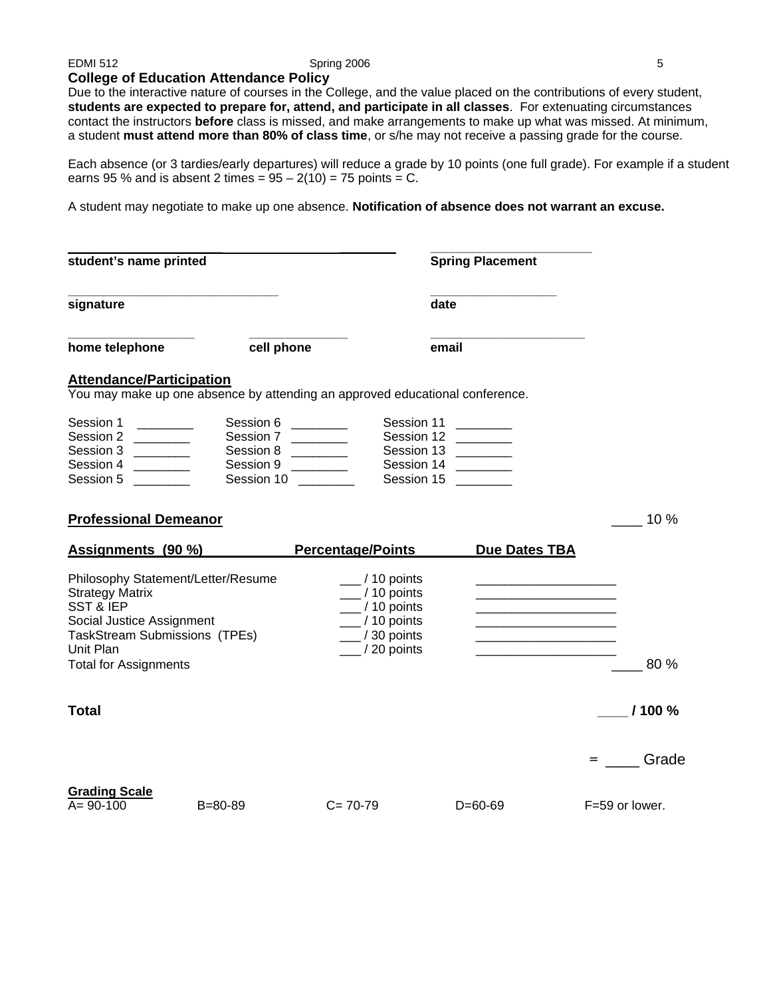#### **College of Education Attendance Policy**

Due to the interactive nature of courses in the College, and the value placed on the contributions of every student, **students are expected to prepare for, attend, and participate in all classes**. For extenuating circumstances contact the instructors **before** class is missed, and make arrangements to make up what was missed. At minimum, a student **must attend more than 80% of class time**, or s/he may not receive a passing grade for the course.

Each absence (or 3 tardies/early departures) will reduce a grade by 10 points (one full grade). For example if a student earns 95 % and is absent 2 times =  $95 - 2(10) = 75$  points = C.

A student may negotiate to make up one absence. **Notification of absence does not warrant an excuse.** 

| student's name printed                                                                                                                                                                                                                                                                                                                                                                                                                                                                                                                                                              |                                                                |                                                                                                                                                                        | <b>Spring Placement</b> |                                                                           |
|-------------------------------------------------------------------------------------------------------------------------------------------------------------------------------------------------------------------------------------------------------------------------------------------------------------------------------------------------------------------------------------------------------------------------------------------------------------------------------------------------------------------------------------------------------------------------------------|----------------------------------------------------------------|------------------------------------------------------------------------------------------------------------------------------------------------------------------------|-------------------------|---------------------------------------------------------------------------|
| signature                                                                                                                                                                                                                                                                                                                                                                                                                                                                                                                                                                           |                                                                |                                                                                                                                                                        | date                    |                                                                           |
| home telephone                                                                                                                                                                                                                                                                                                                                                                                                                                                                                                                                                                      | cell phone                                                     |                                                                                                                                                                        | email                   |                                                                           |
| <b>Attendance/Participation</b>                                                                                                                                                                                                                                                                                                                                                                                                                                                                                                                                                     |                                                                | You may make up one absence by attending an approved educational conference.                                                                                           |                         |                                                                           |
| Session 1<br>Session 2<br><u> The Common State</u><br>Session 3<br>$\begin{array}{cccccccccc} \multicolumn{2}{c}{} & \multicolumn{2}{c}{} & \multicolumn{2}{c}{} & \multicolumn{2}{c}{} & \multicolumn{2}{c}{} & \multicolumn{2}{c}{} & \multicolumn{2}{c}{} & \multicolumn{2}{c}{} & \multicolumn{2}{c}{} & \multicolumn{2}{c}{} & \multicolumn{2}{c}{} & \multicolumn{2}{c}{} & \multicolumn{2}{c}{} & \multicolumn{2}{c}{} & \multicolumn{2}{c}{} & \multicolumn{2}{c}{} & \multicolumn{2}{c}{} & \multicolumn{2}{c}{} & \multicolumn{2}{c}{} & \mult$<br>Session 4<br>Session 5 | Session 6<br>Session 7<br>Session 8<br>Session 9<br>Session 10 | Session 11<br>Session 12<br>$\overline{\phantom{a}}$<br>Session 14<br>Session 15                                                                                       | Session 13              |                                                                           |
| <b>Professional Demeanor</b>                                                                                                                                                                                                                                                                                                                                                                                                                                                                                                                                                        |                                                                |                                                                                                                                                                        |                         | 10 %                                                                      |
| Assignments (90 %)                                                                                                                                                                                                                                                                                                                                                                                                                                                                                                                                                                  |                                                                | <b>Percentage/Points</b>                                                                                                                                               | <b>Due Dates TBA</b>    |                                                                           |
| Philosophy Statement/Letter/Resume<br><b>Strategy Matrix</b><br><b>SST &amp; IEP</b><br>Social Justice Assignment<br><b>TaskStream Submissions (TPEs)</b><br>Unit Plan<br><b>Total for Assignments</b>                                                                                                                                                                                                                                                                                                                                                                              |                                                                | $\frac{1}{2}$ / 10 points<br>$\frac{1}{2}$ / 10 points<br>$\frac{1}{2}$ / 10 points<br>$\frac{1}{2}$ / 10 points<br>$\frac{1}{2}$ / 30 points<br>$\frac{1}{20}$ points |                         | <u> 1989 - Johann Barbara, martin da kasar Amerikaan kasar da</u><br>80 % |
| <b>Total</b>                                                                                                                                                                                                                                                                                                                                                                                                                                                                                                                                                                        |                                                                |                                                                                                                                                                        |                         | 1100%                                                                     |
|                                                                                                                                                                                                                                                                                                                                                                                                                                                                                                                                                                                     |                                                                |                                                                                                                                                                        |                         | Grade<br>$=$ $\sim$                                                       |
| <b>Grading Scale</b><br>$A = 90 - 100$                                                                                                                                                                                                                                                                                                                                                                                                                                                                                                                                              | $B = 80 - 89$                                                  | $C = 70-79$                                                                                                                                                            | $D = 60 - 69$           | F=59 or lower.                                                            |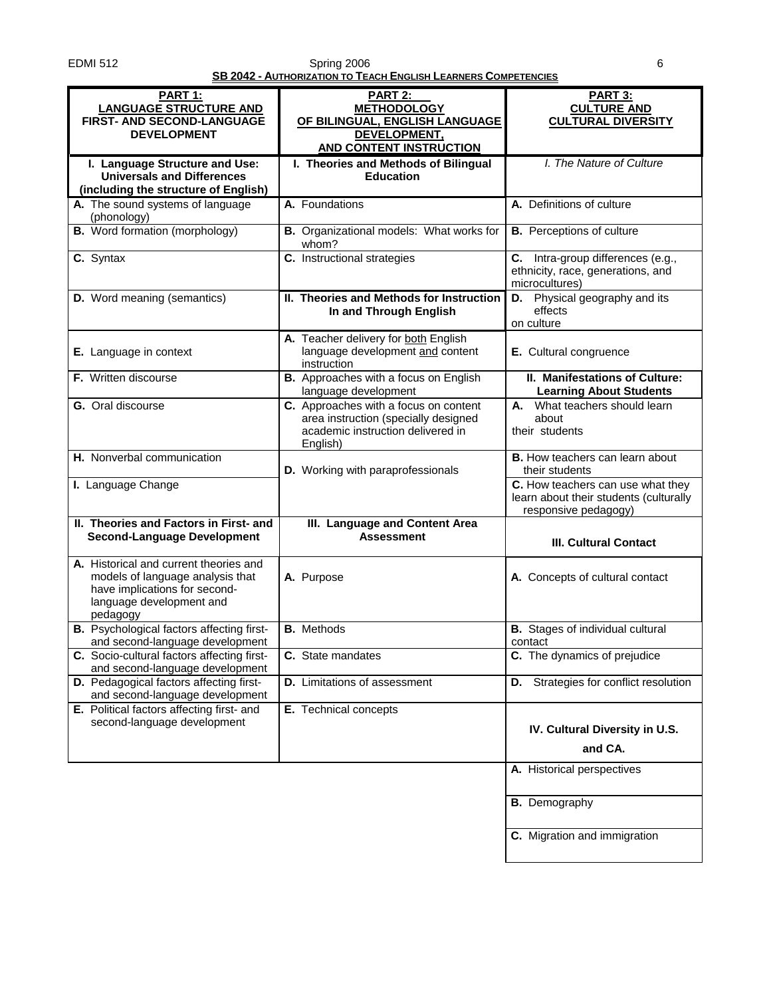#### EDMI 512 Spring 2006 6 **SB 2042 - AUTHORIZATION TO TEACH ENGLISH LEARNERS COMPETENCIES**

|                                                                                                                                                     | <u>- AUTHONIZATION TO TEACH ENGLISH ELANNENS COMPETENCIES</u>                                                                  |                                                                                                     |
|-----------------------------------------------------------------------------------------------------------------------------------------------------|--------------------------------------------------------------------------------------------------------------------------------|-----------------------------------------------------------------------------------------------------|
| <b>PART 1:</b><br><b>LANGUAGE STRUCTURE AND</b><br>FIRST- AND SECOND-LANGUAGE<br><b>DEVELOPMENT</b>                                                 | <b>PART 2:</b><br><b>METHODOLOGY</b><br>OF BILINGUAL, ENGLISH LANGUAGE<br>DEVELOPMENT,<br><b>AND CONTENT INSTRUCTION</b>       | <b>PART 3:</b><br><b>CULTURE AND</b><br><b>CULTURAL DIVERSITY</b>                                   |
| I. Language Structure and Use:<br><b>Universals and Differences</b><br>(including the structure of English)                                         | I. Theories and Methods of Bilingual<br><b>Education</b>                                                                       | I. The Nature of Culture                                                                            |
| A. The sound systems of language<br>(phonology)                                                                                                     | A. Foundations                                                                                                                 | A. Definitions of culture                                                                           |
| <b>B.</b> Word formation (morphology)                                                                                                               | B. Organizational models: What works for<br>whom?                                                                              | <b>B.</b> Perceptions of culture                                                                    |
| C. Syntax                                                                                                                                           | C. Instructional strategies                                                                                                    | C. Intra-group differences (e.g.,<br>ethnicity, race, generations, and<br>microcultures)            |
| D. Word meaning (semantics)                                                                                                                         | II. Theories and Methods for Instruction<br>In and Through English                                                             | <b>D.</b> Physical geography and its<br>effects<br>on culture                                       |
| E. Language in context                                                                                                                              | A. Teacher delivery for both English<br>language development and content<br>instruction                                        | E. Cultural congruence                                                                              |
| <b>F.</b> Written discourse                                                                                                                         | B. Approaches with a focus on English<br>language development                                                                  | II. Manifestations of Culture:<br><b>Learning About Students</b>                                    |
| G. Oral discourse                                                                                                                                   | C. Approaches with a focus on content<br>area instruction (specially designed<br>academic instruction delivered in<br>English) | What teachers should learn<br>А.<br>about<br>their students                                         |
| H. Nonverbal communication                                                                                                                          | D. Working with paraprofessionals                                                                                              | <b>B.</b> How teachers can learn about<br>their students                                            |
| I. Language Change                                                                                                                                  |                                                                                                                                | C. How teachers can use what they<br>learn about their students (culturally<br>responsive pedagogy) |
| II. Theories and Factors in First- and<br><b>Second-Language Development</b>                                                                        | III. Language and Content Area<br><b>Assessment</b>                                                                            | <b>III. Cultural Contact</b>                                                                        |
| A. Historical and current theories and<br>models of language analysis that<br>have implications for second-<br>language development and<br>pedagogy | A. Purpose                                                                                                                     | A. Concepts of cultural contact                                                                     |
| <b>B.</b> Psychological factors affecting first-<br>and second-language development                                                                 | <b>B.</b> Methods                                                                                                              | <b>B.</b> Stages of individual cultural<br>contact                                                  |
| C. Socio-cultural factors affecting first-<br>and second-language development                                                                       | C. State mandates                                                                                                              | C. The dynamics of prejudice                                                                        |
| D. Pedagogical factors affecting first-<br>and second-language development                                                                          | <b>D.</b> Limitations of assessment                                                                                            | Strategies for conflict resolution<br>D.                                                            |
| E. Political factors affecting first- and<br>second-language development                                                                            | E. Technical concepts                                                                                                          | IV. Cultural Diversity in U.S.                                                                      |
|                                                                                                                                                     |                                                                                                                                | and CA.<br>A. Historical perspectives                                                               |
|                                                                                                                                                     |                                                                                                                                |                                                                                                     |
|                                                                                                                                                     |                                                                                                                                | <b>B.</b> Demography                                                                                |
|                                                                                                                                                     |                                                                                                                                | C. Migration and immigration                                                                        |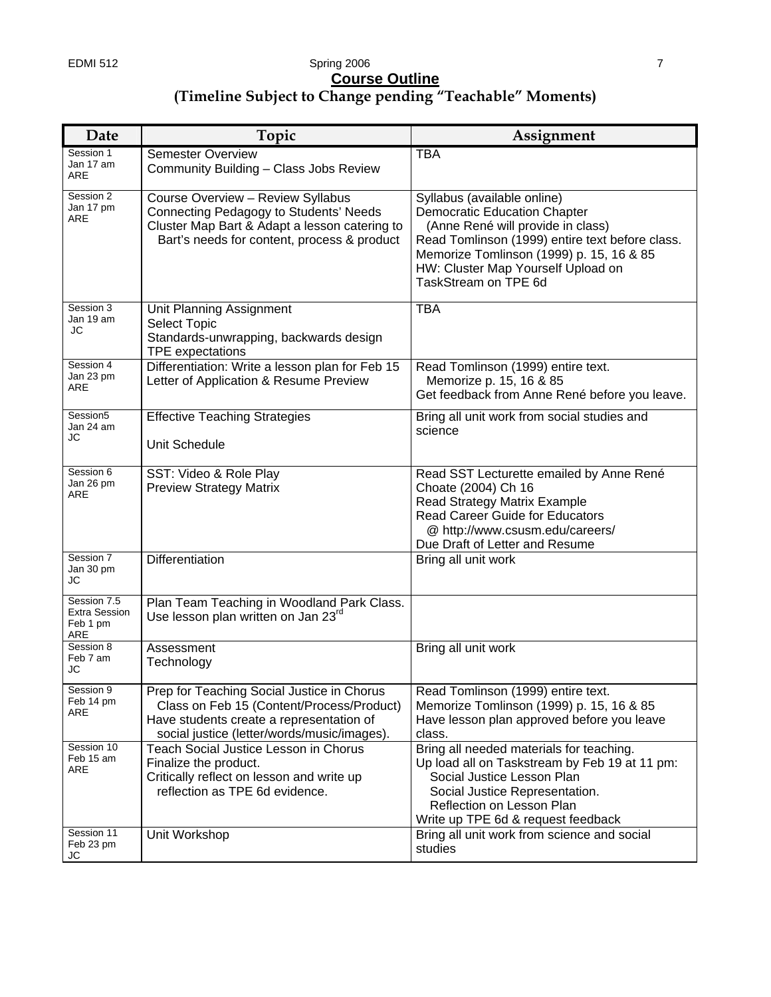## EDMI 512 Spring 2006 7 **Course Outline (Timeline Subject to Change pending "Teachable" Moments)**

| Date                                                   | Topic                                                                                                                                                                              | Assignment                                                                                                                                                                                                                                                           |
|--------------------------------------------------------|------------------------------------------------------------------------------------------------------------------------------------------------------------------------------------|----------------------------------------------------------------------------------------------------------------------------------------------------------------------------------------------------------------------------------------------------------------------|
| Session 1<br>Jan 17 am<br>ARE                          | <b>Semester Overview</b><br>Community Building - Class Jobs Review                                                                                                                 | <b>TBA</b>                                                                                                                                                                                                                                                           |
| Session 2<br>Jan 17 pm<br>ARE                          | Course Overview - Review Syllabus<br><b>Connecting Pedagogy to Students' Needs</b><br>Cluster Map Bart & Adapt a lesson catering to<br>Bart's needs for content, process & product | Syllabus (available online)<br><b>Democratic Education Chapter</b><br>(Anne René will provide in class)<br>Read Tomlinson (1999) entire text before class.<br>Memorize Tomlinson (1999) p. 15, 16 & 85<br>HW: Cluster Map Yourself Upload on<br>TaskStream on TPE 6d |
| Session 3<br>Jan 19 am<br>JC                           | Unit Planning Assignment<br><b>Select Topic</b><br>Standards-unwrapping, backwards design<br><b>TPE</b> expectations                                                               | <b>TBA</b>                                                                                                                                                                                                                                                           |
| Session 4<br>Jan 23 pm<br>ARE                          | Differentiation: Write a lesson plan for Feb 15<br>Letter of Application & Resume Preview                                                                                          | Read Tomlinson (1999) entire text.<br>Memorize p. 15, 16 & 85<br>Get feedback from Anne René before you leave.                                                                                                                                                       |
| Session5<br>Jan 24 am<br>JС                            | <b>Effective Teaching Strategies</b><br>Unit Schedule                                                                                                                              | Bring all unit work from social studies and<br>science                                                                                                                                                                                                               |
| Session 6<br>Jan 26 pm<br>ARE                          | SST: Video & Role Play<br><b>Preview Strategy Matrix</b>                                                                                                                           | Read SST Lecturette emailed by Anne René<br>Choate (2004) Ch 16<br><b>Read Strategy Matrix Example</b><br><b>Read Career Guide for Educators</b><br>@ http://www.csusm.edu/careers/<br>Due Draft of Letter and Resume                                                |
| Session 7<br>Jan 30 pm<br>JC                           | <b>Differentiation</b>                                                                                                                                                             | Bring all unit work                                                                                                                                                                                                                                                  |
| Session 7.5<br><b>Extra Session</b><br>Feb 1 pm<br>ARE | Plan Team Teaching in Woodland Park Class.<br>Use lesson plan written on Jan 23 <sup>rd</sup>                                                                                      |                                                                                                                                                                                                                                                                      |
| Session 8<br>Feb 7 am<br>JC                            | Assessment<br>Technology                                                                                                                                                           | Bring all unit work                                                                                                                                                                                                                                                  |
| Session 9<br>Feb 14 pm<br>ARE                          | Prep for Teaching Social Justice in Chorus<br>Class on Feb 15 (Content/Process/Product)<br>Have students create a representation of<br>social justice (letter/words/music/images). | Read Tomlinson (1999) entire text.<br>Memorize Tomlinson (1999) p. 15, 16 & 85<br>Have lesson plan approved before you leave<br>class.                                                                                                                               |
| Session 10<br>Feb 15 am<br>ARE                         | <b>Teach Social Justice Lesson in Chorus</b><br>Finalize the product.<br>Critically reflect on lesson and write up<br>reflection as TPE 6d evidence.                               | Bring all needed materials for teaching.<br>Up load all on Taskstream by Feb 19 at 11 pm:<br>Social Justice Lesson Plan<br>Social Justice Representation.<br>Reflection on Lesson Plan<br>Write up TPE 6d & request feedback                                         |
| Session 11<br>Feb 23 pm<br>JС                          | Unit Workshop                                                                                                                                                                      | Bring all unit work from science and social<br>studies                                                                                                                                                                                                               |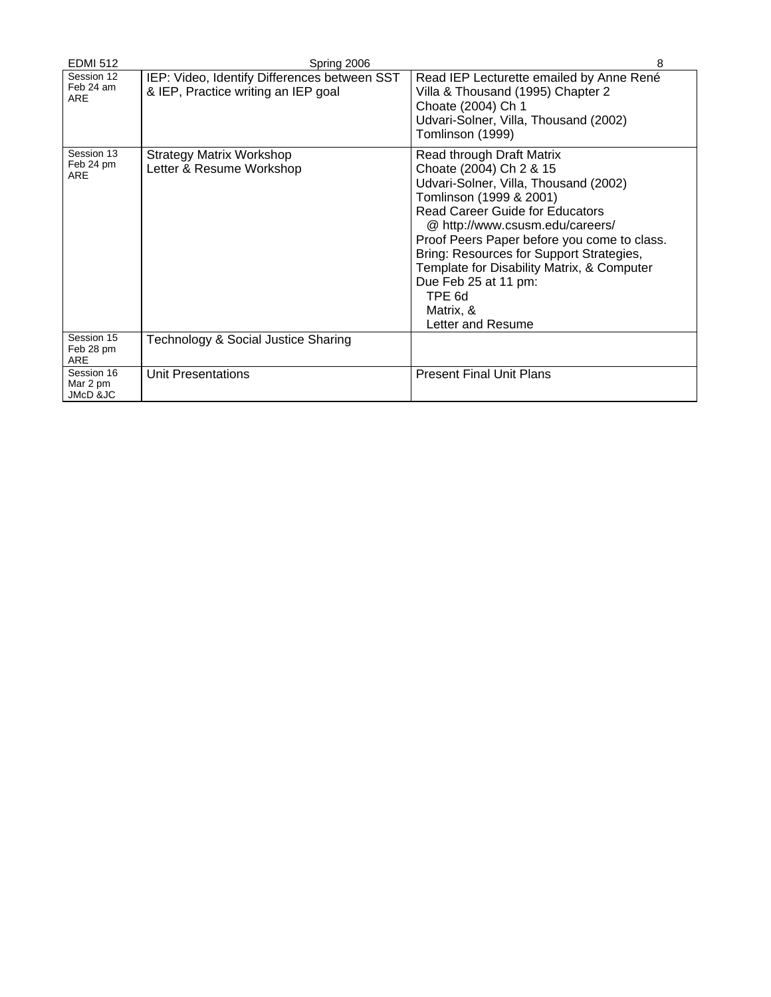| <b>EDMI 512</b>                       | Spring 2006                                                                         | 8                                                                                                                                                                                                                                                                                                                                                                                                                  |
|---------------------------------------|-------------------------------------------------------------------------------------|--------------------------------------------------------------------------------------------------------------------------------------------------------------------------------------------------------------------------------------------------------------------------------------------------------------------------------------------------------------------------------------------------------------------|
| Session 12<br>Feb 24 am<br><b>ARE</b> | IEP: Video, Identify Differences between SST<br>& IEP, Practice writing an IEP goal | Read IEP Lecturette emailed by Anne René<br>Villa & Thousand (1995) Chapter 2<br>Choate (2004) Ch 1<br>Udvari-Solner, Villa, Thousand (2002)<br>Tomlinson (1999)                                                                                                                                                                                                                                                   |
| Session 13<br>Feb 24 pm<br><b>ARE</b> | <b>Strategy Matrix Workshop</b><br>Letter & Resume Workshop                         | Read through Draft Matrix<br>Choate (2004) Ch 2 & 15<br>Udvari-Solner, Villa, Thousand (2002)<br>Tomlinson (1999 & 2001)<br><b>Read Career Guide for Educators</b><br>@ http://www.csusm.edu/careers/<br>Proof Peers Paper before you come to class.<br>Bring: Resources for Support Strategies,<br>Template for Disability Matrix, & Computer<br>Due Feb 25 at 11 pm:<br>TPE 6d<br>Matrix, &<br>Letter and Resume |
| Session 15<br>Feb 28 pm<br><b>ARE</b> | Technology & Social Justice Sharing                                                 |                                                                                                                                                                                                                                                                                                                                                                                                                    |
| Session 16<br>Mar 2 pm<br>JMcD &JC    | Unit Presentations                                                                  | <b>Present Final Unit Plans</b>                                                                                                                                                                                                                                                                                                                                                                                    |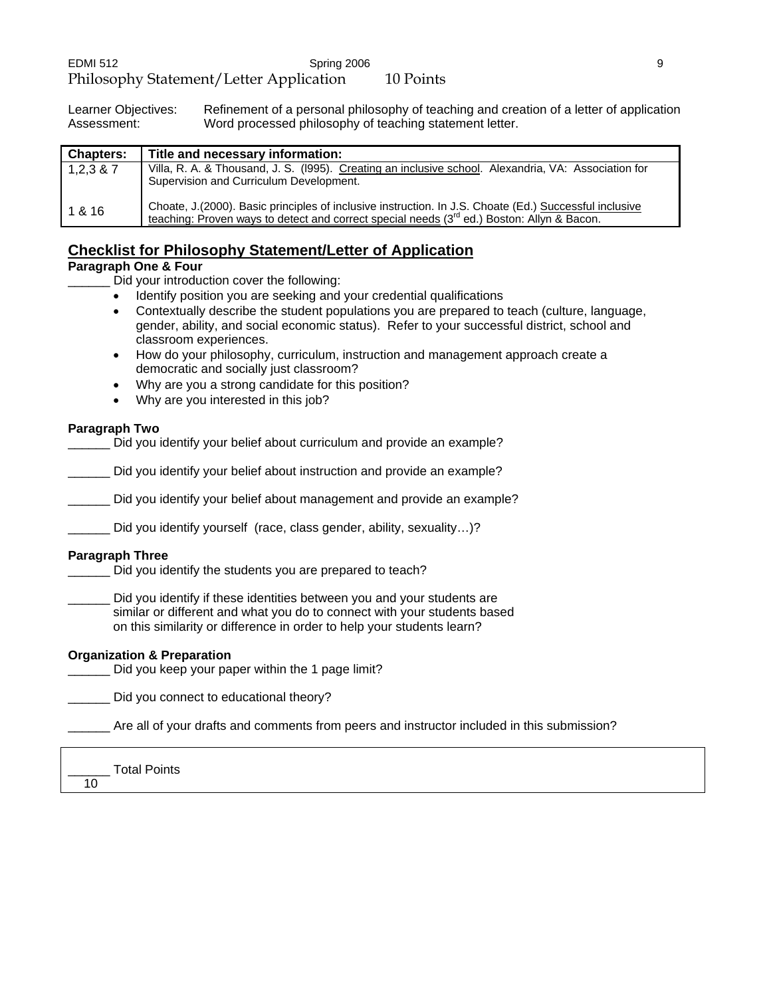Learner Objectives: Refinement of a personal philosophy of teaching and creation of a letter of application<br>Assessment: Word processed philosophy of teaching statement letter. Word processed philosophy of teaching statement letter.

| <b>Chapters:</b> | Title and necessary information:                                                                                                                                                                      |
|------------------|-------------------------------------------------------------------------------------------------------------------------------------------------------------------------------------------------------|
| 1,2,3,8,7        | Villa, R. A. & Thousand, J. S. (1995). Creating an inclusive school. Alexandria, VA: Association for<br>Supervision and Curriculum Development.                                                       |
| 1 & 16           | Choate, J. (2000). Basic principles of inclusive instruction. In J.S. Choate (Ed.) Successful inclusive<br>teaching: Proven ways to detect and correct special needs (3rd ed.) Boston: Allyn & Bacon. |

## **Checklist for Philosophy Statement/Letter of Application**

## **Paragraph One & Four**

Did your introduction cover the following:

- Identify position you are seeking and your credential qualifications
- Contextually describe the student populations you are prepared to teach (culture, language, gender, ability, and social economic status). Refer to your successful district, school and classroom experiences.
- How do your philosophy, curriculum, instruction and management approach create a democratic and socially just classroom?
- Why are you a strong candidate for this position?
- Why are you interested in this job?

## **Paragraph Two**

\_\_\_\_\_\_ Did you identify your belief about curriculum and provide an example?

Did you identify your belief about instruction and provide an example?

Did you identify your belief about management and provide an example?

Did you identify yourself (race, class gender, ability, sexuality...)?

#### **Paragraph Three**

Did you identify the students you are prepared to teach?

Did you identify if these identities between you and your students are similar or different and what you do to connect with your students based on this similarity or difference in order to help your students learn?

## **Organization & Preparation**

Did you keep your paper within the 1 page limit?

Did you connect to educational theory?

\_\_\_\_\_\_ Are all of your drafts and comments from peers and instructor included in this submission?

\_\_\_\_\_\_ Total Points 10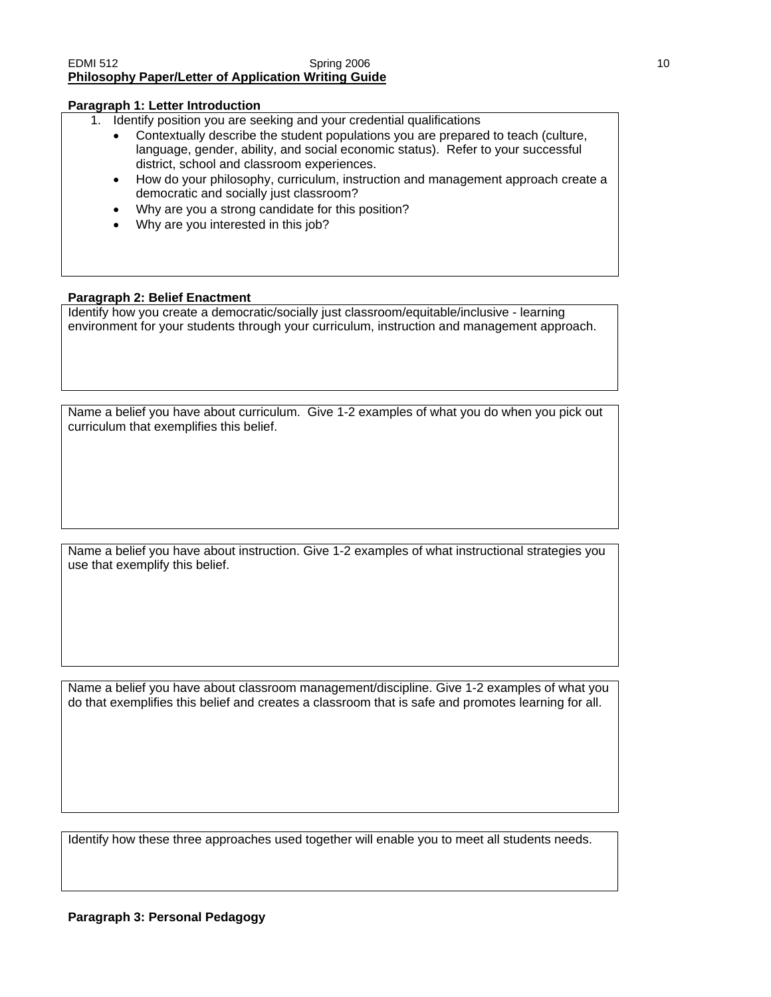#### EDMI 512 **Spring 2006** 10 **Spring 2006** 10 **Philosophy Paper/Letter of Application Writing Guide**

#### **Paragraph 1: Letter Introduction**

1. Identify position you are seeking and your credential qualifications

- Contextually describe the student populations you are prepared to teach (culture, language, gender, ability, and social economic status). Refer to your successful district, school and classroom experiences.
- How do your philosophy, curriculum, instruction and management approach create a democratic and socially just classroom?
- Why are you a strong candidate for this position?
- Why are you interested in this job?

#### **Paragraph 2: Belief Enactment**

Identify how you create a democratic/socially just classroom/equitable/inclusive - learning environment for your students through your curriculum, instruction and management approach.

Name a belief you have about curriculum. Give 1-2 examples of what you do when you pick out curriculum that exemplifies this belief.

Name a belief you have about instruction. Give 1-2 examples of what instructional strategies you use that exemplify this belief.

Name a belief you have about classroom management/discipline. Give 1-2 examples of what you do that exemplifies this belief and creates a classroom that is safe and promotes learning for all.

Identify how these three approaches used together will enable you to meet all students needs.

## **Paragraph 3: Personal Pedagogy**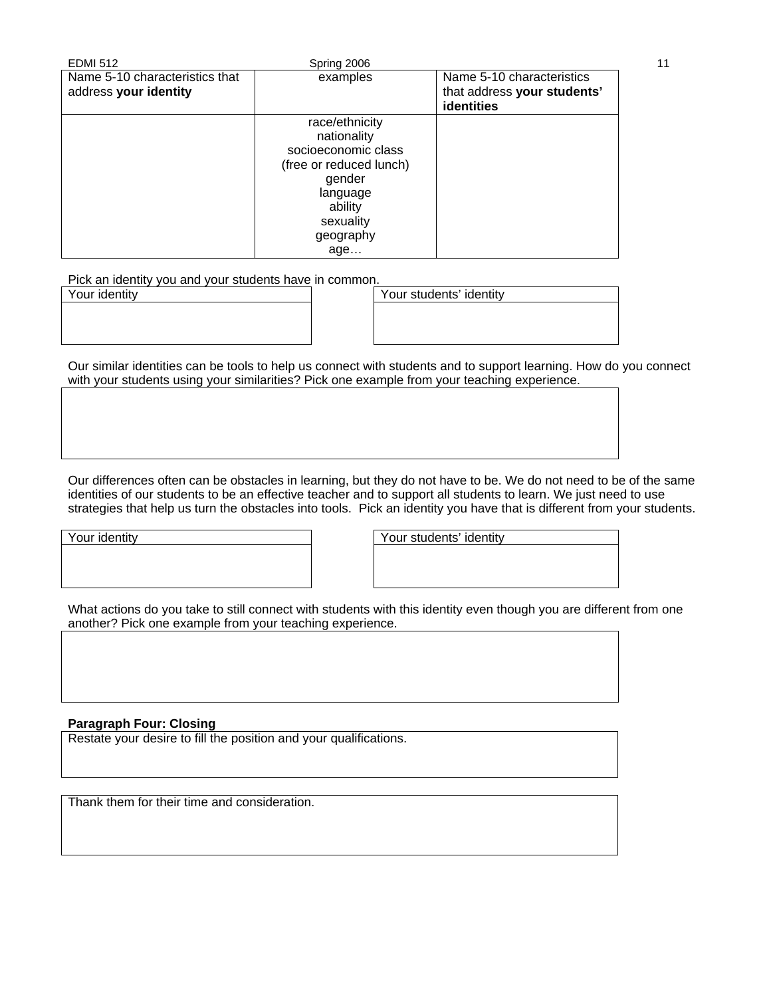| <b>EDMI 512</b>                | Spring 2006             |                                                  | 11 |
|--------------------------------|-------------------------|--------------------------------------------------|----|
| Name 5-10 characteristics that | examples                | Name 5-10 characteristics                        |    |
| address your identity          |                         | that address your students'<br><b>identities</b> |    |
|                                | race/ethnicity          |                                                  |    |
|                                | nationality             |                                                  |    |
|                                | socioeconomic class     |                                                  |    |
|                                | (free or reduced lunch) |                                                  |    |
|                                | gender                  |                                                  |    |
|                                | language                |                                                  |    |
|                                | ability                 |                                                  |    |
|                                | sexuality               |                                                  |    |
|                                | geography               |                                                  |    |
|                                | age                     |                                                  |    |

Pick an identity you and your students have in common.

| Your identity | Your students' identity |
|---------------|-------------------------|
|               |                         |
|               |                         |
|               |                         |

Our similar identities can be tools to help us connect with students and to support learning. How do you connect with your students using your similarities? Pick one example from your teaching experience.

Our differences often can be obstacles in learning, but they do not have to be. We do not need to be of the same identities of our students to be an effective teacher and to support all students to learn. We just need to use strategies that help us turn the obstacles into tools. Pick an identity you have that is different from your students.

Your identity **Your students'** identity

What actions do you take to still connect with students with this identity even though you are different from one another? Pick one example from your teaching experience.

## **Paragraph Four: Closing**

Restate your desire to fill the position and your qualifications.

Thank them for their time and consideration.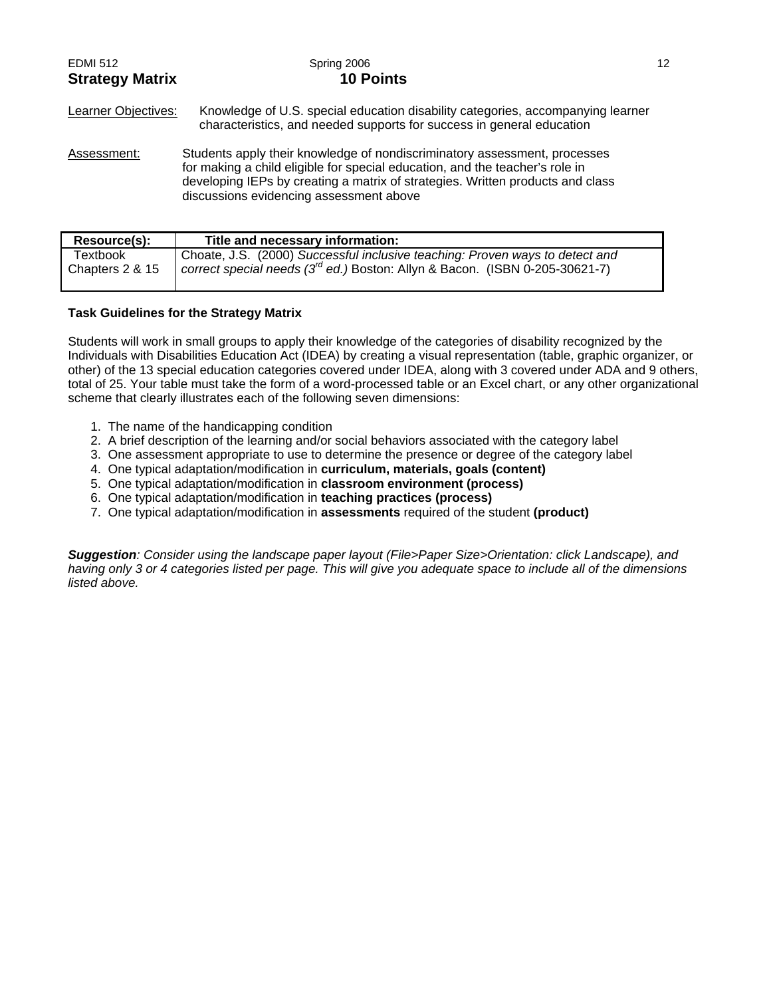| <b>EDMI 512</b><br><b>Strategy Matrix</b> | Spring 2006<br><b>10 Points</b>                                                                                                                                                                                                                                                        | 12 |
|-------------------------------------------|----------------------------------------------------------------------------------------------------------------------------------------------------------------------------------------------------------------------------------------------------------------------------------------|----|
| Learner Objectives:                       | Knowledge of U.S. special education disability categories, accompanying learner<br>characteristics, and needed supports for success in general education                                                                                                                               |    |
| Assessment:                               | Students apply their knowledge of nondiscriminatory assessment, processes<br>for making a child eligible for special education, and the teacher's role in<br>developing IEPs by creating a matrix of strategies. Written products and class<br>discussions evidencing assessment above |    |

| Resource(s):    | Title and necessary information:                                                 |
|-----------------|----------------------------------------------------------------------------------|
| Textbook        | Choate, J.S. (2000) Successful inclusive teaching: Proven ways to detect and     |
| Chapters 2 & 15 | correct special needs $(3^{rd}$ ed.) Boston: Allyn & Bacon. (ISBN 0-205-30621-7) |

#### **Task Guidelines for the Strategy Matrix**

Students will work in small groups to apply their knowledge of the categories of disability recognized by the Individuals with Disabilities Education Act (IDEA) by creating a visual representation (table, graphic organizer, or other) of the 13 special education categories covered under IDEA, along with 3 covered under ADA and 9 others, total of 25. Your table must take the form of a word-processed table or an Excel chart, or any other organizational scheme that clearly illustrates each of the following seven dimensions:

- 1. The name of the handicapping condition
- 2. A brief description of the learning and/or social behaviors associated with the category label
- 3. One assessment appropriate to use to determine the presence or degree of the category label
- 4. One typical adaptation/modification in **curriculum, materials, goals (content)**
- 5. One typical adaptation/modification in **classroom environment (process)**
- 6. One typical adaptation/modification in **teaching practices (process)**
- 7. One typical adaptation/modification in **assessments** required of the student **(product)**

*Suggestion: Consider using the landscape paper layout (File>Paper Size>Orientation: click Landscape), and having only 3 or 4 categories listed per page. This will give you adequate space to include all of the dimensions listed above.*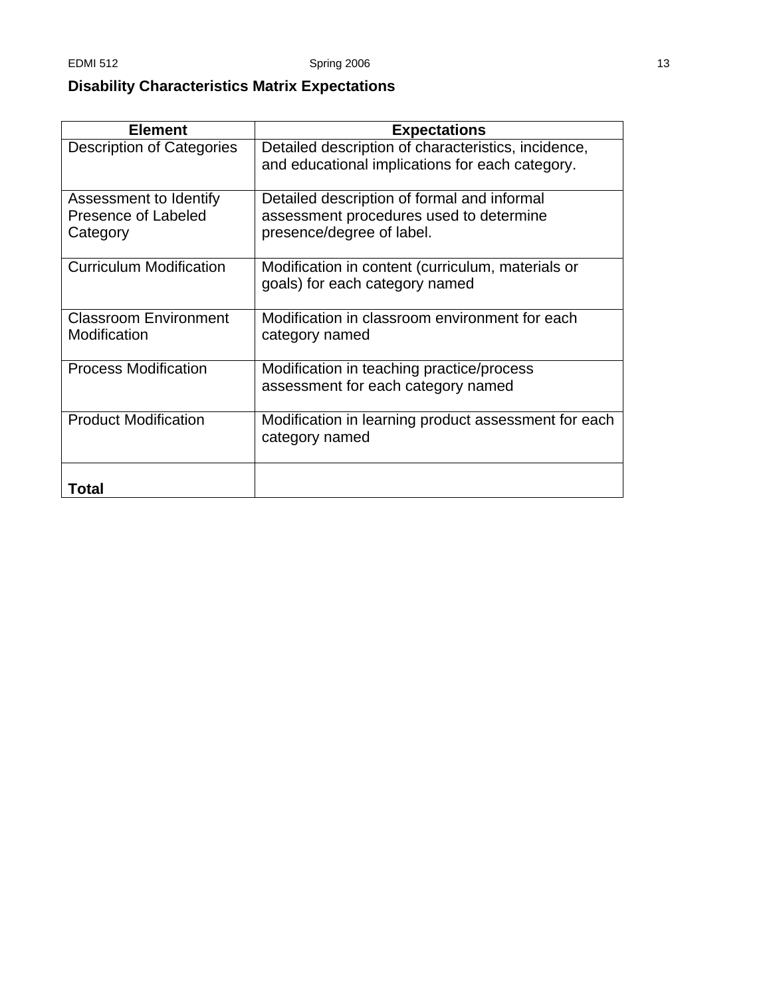# **Disability Characteristics Matrix Expectations**

| <b>Element</b>                                            | <b>Expectations</b>                                                                                                 |
|-----------------------------------------------------------|---------------------------------------------------------------------------------------------------------------------|
| <b>Description of Categories</b>                          | Detailed description of characteristics, incidence,<br>and educational implications for each category.              |
| Assessment to Identify<br>Presence of Labeled<br>Category | Detailed description of formal and informal<br>assessment procedures used to determine<br>presence/degree of label. |
| <b>Curriculum Modification</b>                            | Modification in content (curriculum, materials or<br>goals) for each category named                                 |
| <b>Classroom Environment</b><br>Modification              | Modification in classroom environment for each<br>category named                                                    |
| <b>Process Modification</b>                               | Modification in teaching practice/process<br>assessment for each category named                                     |
| <b>Product Modification</b>                               | Modification in learning product assessment for each<br>category named                                              |
| Total                                                     |                                                                                                                     |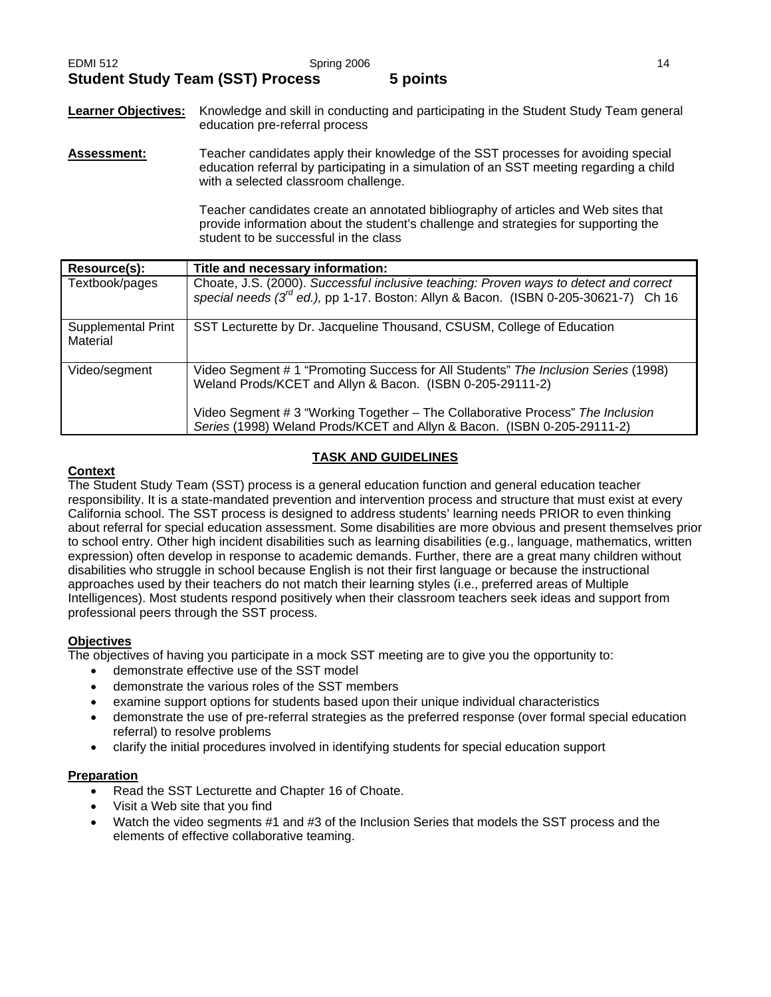**Learner Objectives:** Knowledge and skill in conducting and participating in the Student Study Team general education pre-referral process

**Assessment:** Teacher candidates apply their knowledge of the SST processes for avoiding special education referral by participating in a simulation of an SST meeting regarding a child with a selected classroom challenge.

> Teacher candidates create an annotated bibliography of articles and Web sites that provide information about the student's challenge and strategies for supporting the student to be successful in the class

| Resource(s):                          | Title and necessary information:                                                                                                                                                                                                                                                                             |
|---------------------------------------|--------------------------------------------------------------------------------------------------------------------------------------------------------------------------------------------------------------------------------------------------------------------------------------------------------------|
| Textbook/pages                        | Choate, J.S. (2000). Successful inclusive teaching: Proven ways to detect and correct<br>special needs $(3^{rd}$ ed.), pp 1-17. Boston: Allyn & Bacon. (ISBN 0-205-30621-7) Ch 16                                                                                                                            |
| <b>Supplemental Print</b><br>Material | SST Lecturette by Dr. Jacqueline Thousand, CSUSM, College of Education                                                                                                                                                                                                                                       |
| Video/segment                         | Video Segment # 1 "Promoting Success for All Students" The Inclusion Series (1998)<br>Weland Prods/KCET and Allyn & Bacon. (ISBN 0-205-29111-2)<br>Video Segment # 3 "Working Together - The Collaborative Process" The Inclusion<br>Series (1998) Weland Prods/KCET and Allyn & Bacon. (ISBN 0-205-29111-2) |

## **TASK AND GUIDELINES**

## **Context**

The Student Study Team (SST) process is a general education function and general education teacher responsibility. It is a state-mandated prevention and intervention process and structure that must exist at every California school. The SST process is designed to address students' learning needs PRIOR to even thinking about referral for special education assessment. Some disabilities are more obvious and present themselves prior to school entry. Other high incident disabilities such as learning disabilities (e.g., language, mathematics, written expression) often develop in response to academic demands. Further, there are a great many children without disabilities who struggle in school because English is not their first language or because the instructional approaches used by their teachers do not match their learning styles (i.e., preferred areas of Multiple Intelligences). Most students respond positively when their classroom teachers seek ideas and support from professional peers through the SST process.

## **Objectives**

The objectives of having you participate in a mock SST meeting are to give you the opportunity to:

- demonstrate effective use of the SST model
- demonstrate the various roles of the SST members
- examine support options for students based upon their unique individual characteristics
- demonstrate the use of pre-referral strategies as the preferred response (over formal special education referral) to resolve problems
- clarify the initial procedures involved in identifying students for special education support

## **Preparation**

- Read the SST Lecturette and Chapter 16 of Choate.
- Visit a Web site that you find
- Watch the video segments #1 and #3 of the Inclusion Series that models the SST process and the elements of effective collaborative teaming.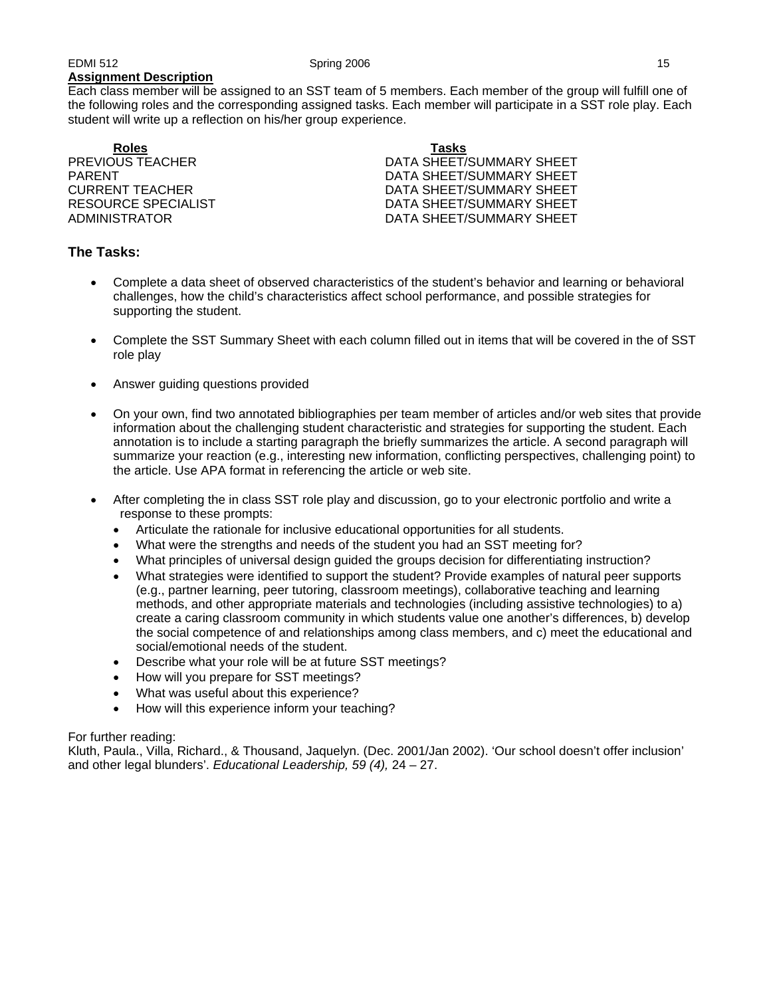Each class member will be assigned to an SST team of 5 members. Each member of the group will fulfill one of the following roles and the corresponding assigned tasks. Each member will participate in a SST role play. Each student will write up a reflection on his/her group experience.

**Roles Tasks**

PREVIOUS TEACHER DATA SHEET/SUMMARY SHEET PARENT PARENT DATA SHEET/SUMMARY SHEET CURRENT TEACHER DATA SHEET/SUMMARY SHEET RESOURCE SPECIALIST **EXECUTE:** THE DATA SHEET/SUMMARY SHEET ADMINISTRATOR DATA SHEET/SUMMARY SHEET

## **The Tasks:**

- Complete a data sheet of observed characteristics of the student's behavior and learning or behavioral challenges, how the child's characteristics affect school performance, and possible strategies for supporting the student.
- Complete the SST Summary Sheet with each column filled out in items that will be covered in the of SST role play
- Answer guiding questions provided
- On your own, find two annotated bibliographies per team member of articles and/or web sites that provide information about the challenging student characteristic and strategies for supporting the student. Each annotation is to include a starting paragraph the briefly summarizes the article. A second paragraph will summarize your reaction (e.g., interesting new information, conflicting perspectives, challenging point) to the article. Use APA format in referencing the article or web site.
- After completing the in class SST role play and discussion, go to your electronic portfolio and write a response to these prompts:
	- Articulate the rationale for inclusive educational opportunities for all students.
	- What were the strengths and needs of the student you had an SST meeting for?
	- What principles of universal design guided the groups decision for differentiating instruction?
	- What strategies were identified to support the student? Provide examples of natural peer supports (e.g., partner learning, peer tutoring, classroom meetings), collaborative teaching and learning methods, and other appropriate materials and technologies (including assistive technologies) to a) create a caring classroom community in which students value one another's differences, b) develop the social competence of and relationships among class members, and c) meet the educational and social/emotional needs of the student.
	- Describe what your role will be at future SST meetings?
	- How will you prepare for SST meetings?
	- What was useful about this experience?
	- How will this experience inform your teaching?

#### For further reading:

Kluth, Paula., Villa, Richard., & Thousand, Jaquelyn. (Dec. 2001/Jan 2002). 'Our school doesn't offer inclusion' and other legal blunders'. *Educational Leadership, 59 (4),* 24 – 27.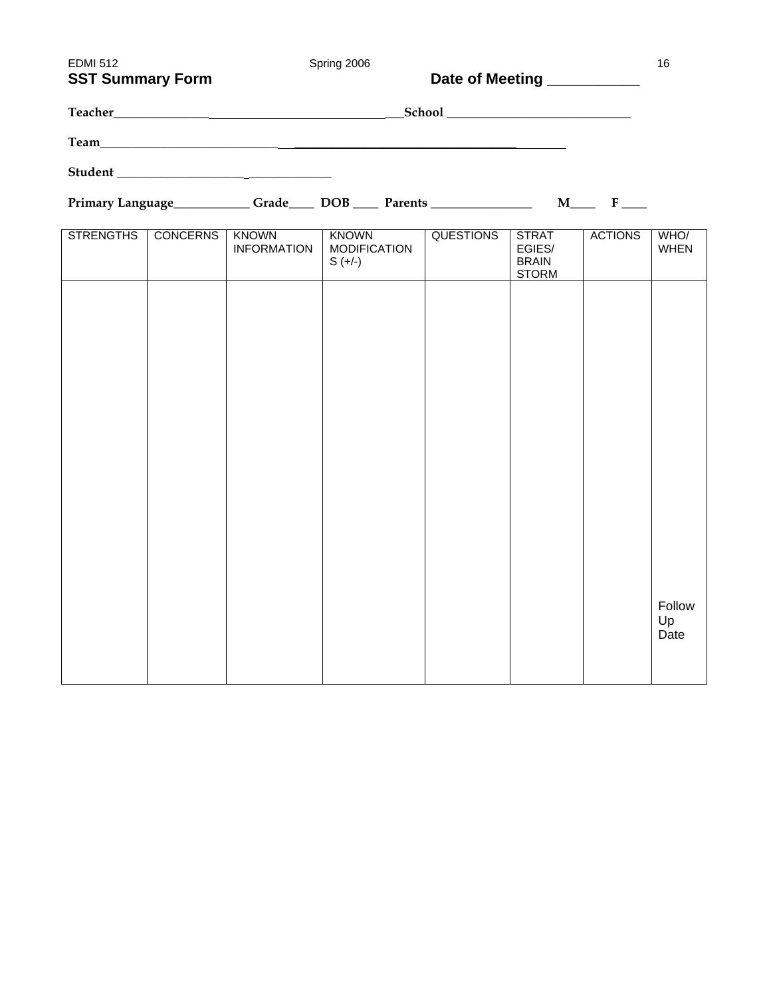| <b>EDMI 512</b><br><b>SST Summary Form</b> |                 |                             | Spring 2006                                      | Date of Meeting __________ |                                                        |                | 16                   |
|--------------------------------------------|-----------------|-----------------------------|--------------------------------------------------|----------------------------|--------------------------------------------------------|----------------|----------------------|
|                                            |                 |                             |                                                  |                            |                                                        |                |                      |
|                                            |                 |                             |                                                  |                            |                                                        |                |                      |
|                                            |                 |                             |                                                  |                            |                                                        |                |                      |
|                                            |                 |                             |                                                  |                            |                                                        |                |                      |
| <b>STRENGTHS</b>                           | <b>CONCERNS</b> | KNOWN<br><b>INFORMATION</b> | <b>KNOWN</b><br><b>MODIFICATION</b><br>$S (+/-)$ | <b>QUESTIONS</b>           | <b>STRAT</b><br>EGIES/<br><b>BRAIN</b><br><b>STORM</b> | <b>ACTIONS</b> | WHO/<br><b>WHEN</b>  |
|                                            |                 |                             |                                                  |                            |                                                        |                |                      |
|                                            |                 |                             |                                                  |                            |                                                        |                |                      |
|                                            |                 |                             |                                                  |                            |                                                        |                |                      |
|                                            |                 |                             |                                                  |                            |                                                        |                |                      |
|                                            |                 |                             |                                                  |                            |                                                        |                |                      |
|                                            |                 |                             |                                                  |                            |                                                        |                |                      |
|                                            |                 |                             |                                                  |                            |                                                        |                |                      |
|                                            |                 |                             |                                                  |                            |                                                        |                | Follow<br>Up<br>Date |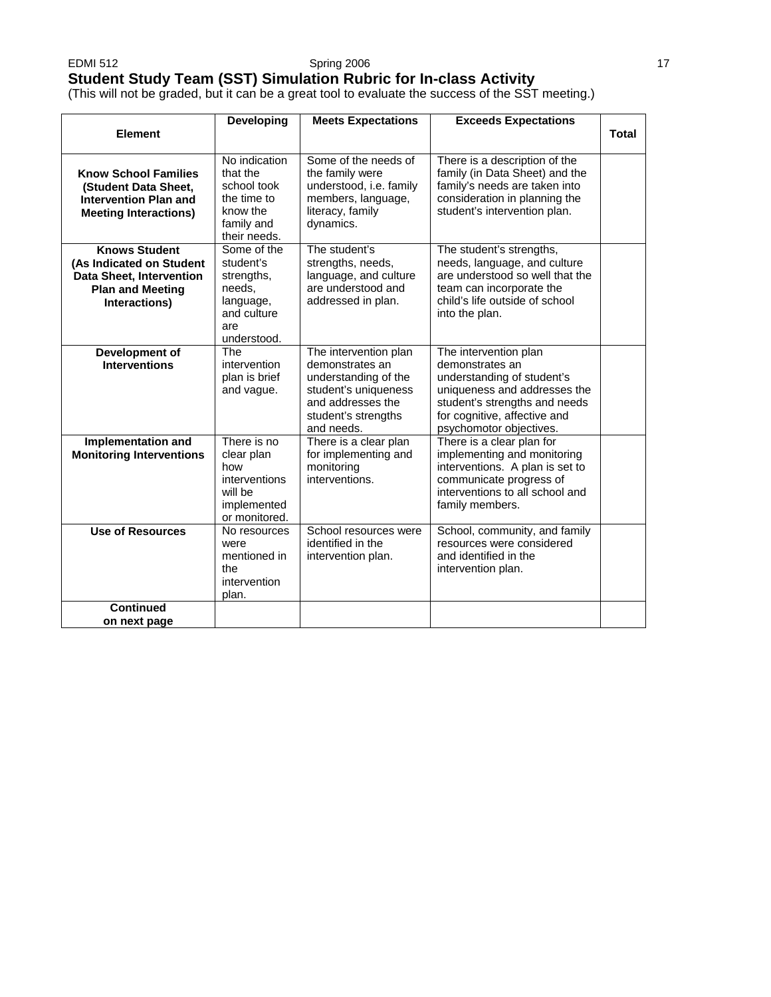## **Student Study Team (SST) Simulation Rubric for In-class Activity**

(This will not be graded, but it can be a great tool to evaluate the success of the SST meeting.)

| <b>Element</b>                                                                                                           | <b>Developing</b>                                                                                  | <b>Meets Expectations</b>                                                                                                                          | <b>Exceeds Expectations</b>                                                                                                                                                                        | <b>Total</b> |
|--------------------------------------------------------------------------------------------------------------------------|----------------------------------------------------------------------------------------------------|----------------------------------------------------------------------------------------------------------------------------------------------------|----------------------------------------------------------------------------------------------------------------------------------------------------------------------------------------------------|--------------|
| <b>Know School Families</b><br>(Student Data Sheet.<br><b>Intervention Plan and</b><br><b>Meeting Interactions)</b>      | No indication<br>that the<br>school took<br>the time to<br>know the<br>family and<br>their needs.  | Some of the needs of<br>the family were<br>understood, i.e. family<br>members, language,<br>literacy, family<br>dynamics.                          | There is a description of the<br>family (in Data Sheet) and the<br>family's needs are taken into<br>consideration in planning the<br>student's intervention plan.                                  |              |
| <b>Knows Student</b><br>(As Indicated on Student<br>Data Sheet, Intervention<br><b>Plan and Meeting</b><br>Interactions) | Some of the<br>student's<br>strengths,<br>needs,<br>language,<br>and culture<br>are<br>understood. | The student's<br>strengths, needs,<br>language, and culture<br>are understood and<br>addressed in plan.                                            | The student's strengths,<br>needs, language, and culture<br>are understood so well that the<br>team can incorporate the<br>child's life outside of school<br>into the plan.                        |              |
| Development of<br><b>Interventions</b>                                                                                   | The<br>intervention<br>plan is brief<br>and vague.                                                 | The intervention plan<br>demonstrates an<br>understanding of the<br>student's uniqueness<br>and addresses the<br>student's strengths<br>and needs. | The intervention plan<br>demonstrates an<br>understanding of student's<br>uniqueness and addresses the<br>student's strengths and needs<br>for cognitive, affective and<br>psychomotor objectives. |              |
| Implementation and<br><b>Monitoring Interventions</b>                                                                    | There is $no$<br>clear plan<br>how<br>interventions<br>will be<br>implemented<br>or monitored.     | There is a clear plan<br>for implementing and<br>monitoring<br>interventions.                                                                      | There is a clear plan for<br>implementing and monitoring<br>interventions. A plan is set to<br>communicate progress of<br>interventions to all school and<br>family members.                       |              |
| <b>Use of Resources</b>                                                                                                  | No resources<br>were<br>mentioned in<br>the<br>intervention<br>plan.                               | School resources were<br>identified in the<br>intervention plan.                                                                                   | School, community, and family<br>resources were considered<br>and identified in the<br>intervention plan.                                                                                          |              |
| <b>Continued</b><br>on next page                                                                                         |                                                                                                    |                                                                                                                                                    |                                                                                                                                                                                                    |              |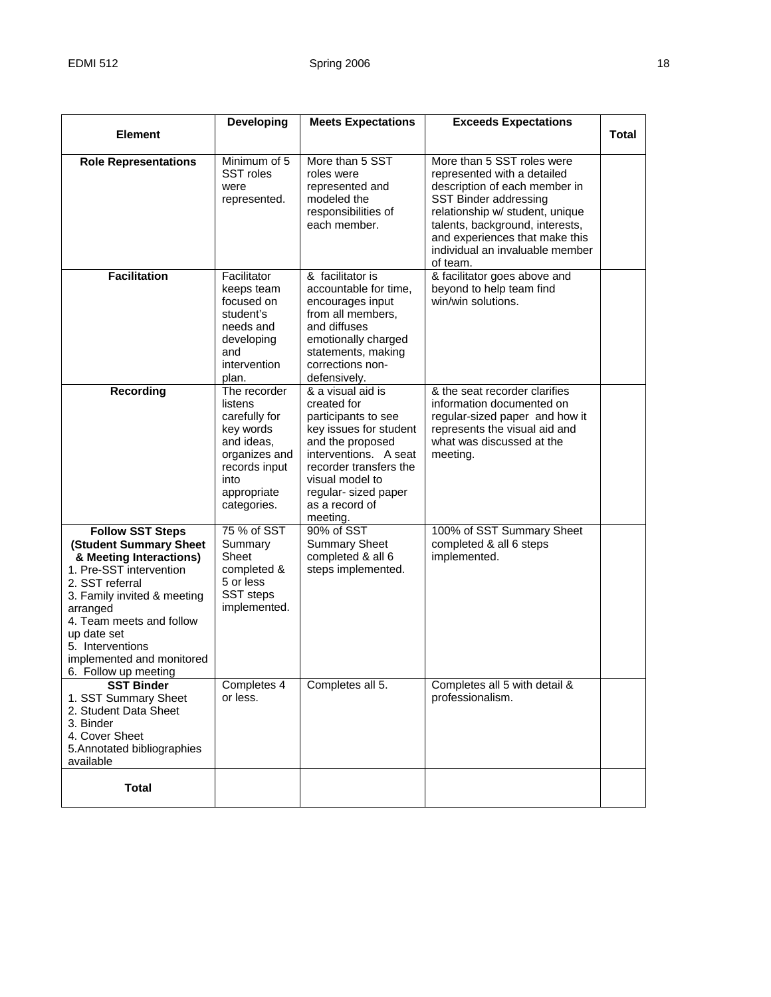|                                                                                                                                                                                                                                                                                           | <b>Developing</b>                                                                                                                           | <b>Meets Expectations</b>                                                                                                                                                                                                         | <b>Exceeds Expectations</b>                                                                                                                                                                                                                                                |              |
|-------------------------------------------------------------------------------------------------------------------------------------------------------------------------------------------------------------------------------------------------------------------------------------------|---------------------------------------------------------------------------------------------------------------------------------------------|-----------------------------------------------------------------------------------------------------------------------------------------------------------------------------------------------------------------------------------|----------------------------------------------------------------------------------------------------------------------------------------------------------------------------------------------------------------------------------------------------------------------------|--------------|
| <b>Element</b>                                                                                                                                                                                                                                                                            |                                                                                                                                             |                                                                                                                                                                                                                                   |                                                                                                                                                                                                                                                                            | <b>Total</b> |
| <b>Role Representations</b>                                                                                                                                                                                                                                                               | Minimum of 5<br>SST roles<br>were<br>represented.                                                                                           | More than 5 SST<br>roles were<br>represented and<br>modeled the<br>responsibilities of<br>each member.                                                                                                                            | More than 5 SST roles were<br>represented with a detailed<br>description of each member in<br>SST Binder addressing<br>relationship w/ student, unique<br>talents, background, interests,<br>and experiences that make this<br>individual an invaluable member<br>of team. |              |
| <b>Facilitation</b>                                                                                                                                                                                                                                                                       | Facilitator<br>keeps team<br>focused on<br>student's<br>needs and<br>developing<br>and<br>intervention<br>plan.                             | & facilitator is<br>accountable for time,<br>encourages input<br>from all members,<br>and diffuses<br>emotionally charged<br>statements, making<br>corrections non-<br>defensively.                                               | & facilitator goes above and<br>beyond to help team find<br>win/win solutions.                                                                                                                                                                                             |              |
| Recording                                                                                                                                                                                                                                                                                 | The recorder<br>listens<br>carefully for<br>key words<br>and ideas,<br>organizes and<br>records input<br>into<br>appropriate<br>categories. | & a visual aid is<br>created for<br>participants to see<br>key issues for student<br>and the proposed<br>interventions. A seat<br>recorder transfers the<br>visual model to<br>regular- sized paper<br>as a record of<br>meeting. | & the seat recorder clarifies<br>information documented on<br>regular-sized paper and how it<br>represents the visual aid and<br>what was discussed at the<br>meeting.                                                                                                     |              |
| <b>Follow SST Steps</b><br>(Student Summary Sheet<br>& Meeting Interactions)<br>1. Pre-SST intervention<br>2. SST referral<br>3. Family invited & meeting<br>arranged<br>4. Team meets and follow<br>up date set<br>5. Interventions<br>implemented and monitored<br>6. Follow up meeting | 75 % of SST<br>Summary<br>Sheet<br>completed &<br>5 or less<br>SST steps<br>implemented.                                                    | 90% of SST<br><b>Summary Sheet</b><br>completed & all 6<br>steps implemented.                                                                                                                                                     | 100% of SST Summary Sheet<br>completed & all 6 steps<br>implemented.                                                                                                                                                                                                       |              |
| <b>SST Binder</b><br>1. SST Summary Sheet<br>2. Student Data Sheet<br>3. Binder<br>4. Cover Sheet<br>5. Annotated bibliographies<br>available                                                                                                                                             | Completes 4<br>or less.                                                                                                                     | Completes all 5.                                                                                                                                                                                                                  | Completes all 5 with detail &<br>professionalism.                                                                                                                                                                                                                          |              |
| <b>Total</b>                                                                                                                                                                                                                                                                              |                                                                                                                                             |                                                                                                                                                                                                                                   |                                                                                                                                                                                                                                                                            |              |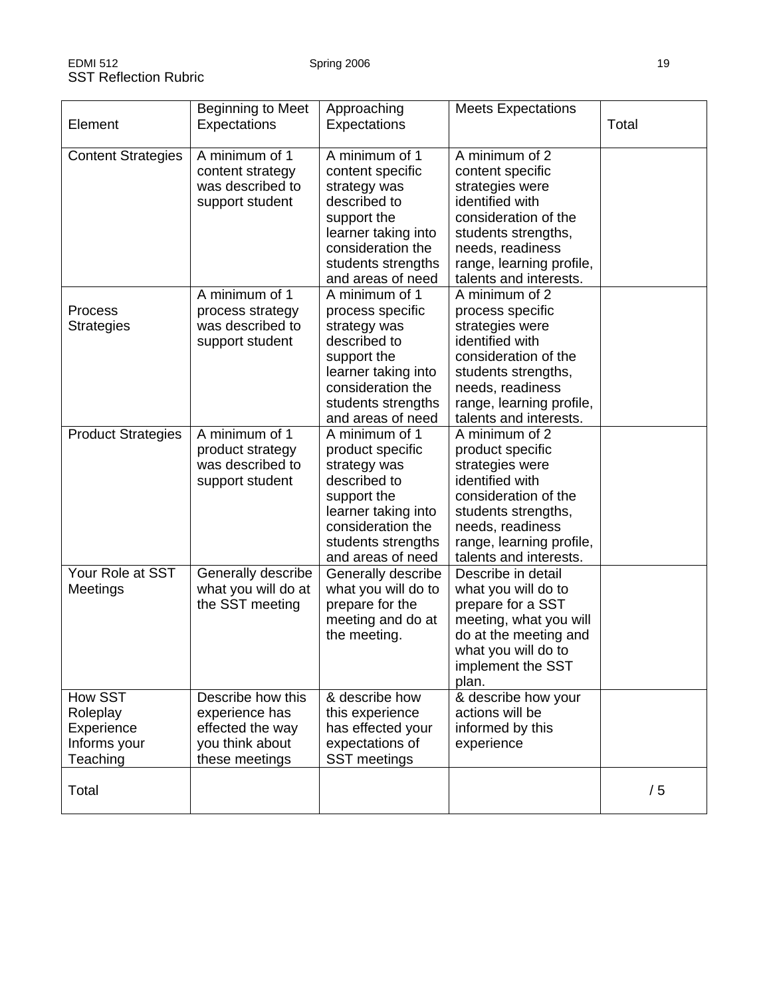| Element                                                       | Beginning to Meet<br>Expectations                                                            | Approaching<br>Expectations                                                                                                                                              | <b>Meets Expectations</b>                                                                                                                                                                         | Total |
|---------------------------------------------------------------|----------------------------------------------------------------------------------------------|--------------------------------------------------------------------------------------------------------------------------------------------------------------------------|---------------------------------------------------------------------------------------------------------------------------------------------------------------------------------------------------|-------|
| <b>Content Strategies</b>                                     | A minimum of 1<br>content strategy<br>was described to<br>support student                    | A minimum of 1<br>content specific<br>strategy was<br>described to<br>support the<br>learner taking into<br>consideration the<br>students strengths<br>and areas of need | A minimum of 2<br>content specific<br>strategies were<br>identified with<br>consideration of the<br>students strengths,<br>needs, readiness<br>range, learning profile,<br>talents and interests. |       |
| Process<br><b>Strategies</b>                                  | A minimum of 1<br>process strategy<br>was described to<br>support student                    | A minimum of 1<br>process specific<br>strategy was<br>described to<br>support the<br>learner taking into<br>consideration the<br>students strengths<br>and areas of need | A minimum of 2<br>process specific<br>strategies were<br>identified with<br>consideration of the<br>students strengths,<br>needs, readiness<br>range, learning profile,<br>talents and interests. |       |
| <b>Product Strategies</b>                                     | A minimum of 1<br>product strategy<br>was described to<br>support student                    | A minimum of 1<br>product specific<br>strategy was<br>described to<br>support the<br>learner taking into<br>consideration the<br>students strengths<br>and areas of need | A minimum of 2<br>product specific<br>strategies were<br>identified with<br>consideration of the<br>students strengths,<br>needs, readiness<br>range, learning profile,<br>talents and interests. |       |
| Your Role at SST<br>Meetings                                  | Generally describe<br>what you will do at<br>the SST meeting                                 | Generally describe<br>what you will do to<br>prepare for the<br>meeting and do at<br>the meeting.                                                                        | Describe in detail<br>what you will do to<br>prepare for a SST<br>meeting, what you will<br>do at the meeting and<br>what you will do to<br>implement the SST<br>plan.                            |       |
| How SST<br>Roleplay<br>Experience<br>Informs your<br>Teaching | Describe how this<br>experience has<br>effected the way<br>you think about<br>these meetings | & describe how<br>this experience<br>has effected your<br>expectations of<br>SST meetings                                                                                | & describe how your<br>actions will be<br>informed by this<br>experience                                                                                                                          |       |
| Total                                                         |                                                                                              |                                                                                                                                                                          |                                                                                                                                                                                                   | /5    |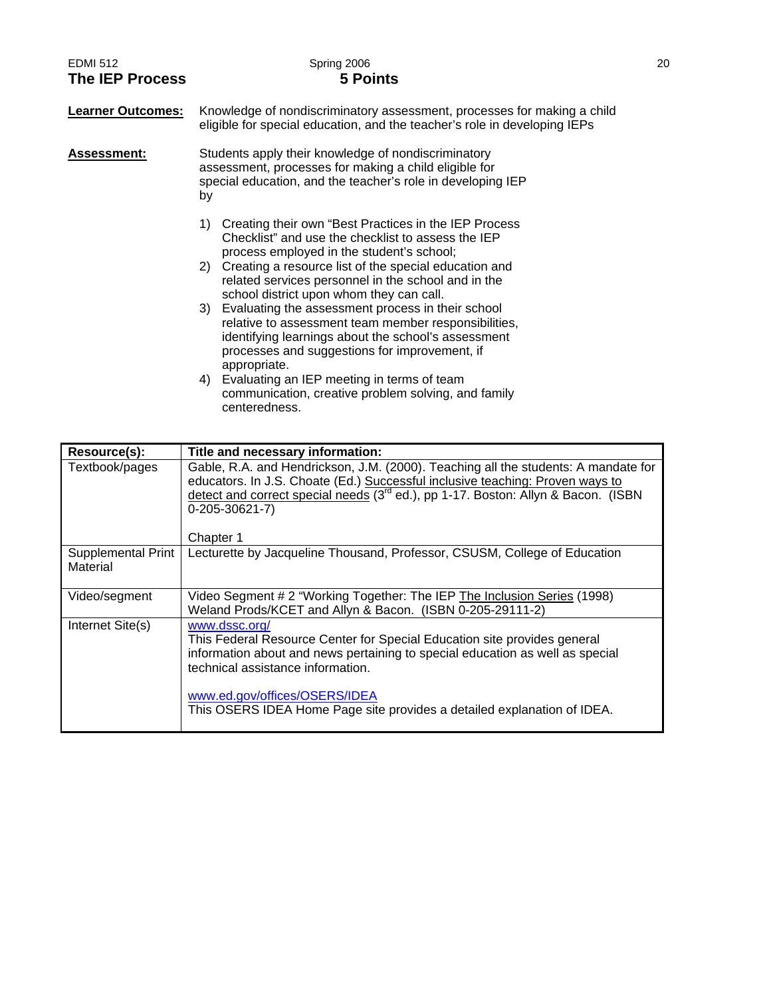| <b>EDMI 512</b><br><b>The IEP Process</b> | Spring 2006<br><b>5 Points</b>                                                                                                                                                                                                                                                 | 20 |
|-------------------------------------------|--------------------------------------------------------------------------------------------------------------------------------------------------------------------------------------------------------------------------------------------------------------------------------|----|
| <b>Learner Outcomes:</b>                  | Knowledge of nondiscriminatory assessment, processes for making a child<br>eligible for special education, and the teacher's role in developing IEPs                                                                                                                           |    |
| <b>Assessment:</b>                        | Students apply their knowledge of nondiscriminatory<br>assessment, processes for making a child eligible for<br>special education, and the teacher's role in developing IEP<br>by                                                                                              |    |
|                                           | Creating their own "Best Practices in the IEP Process"<br>1)<br>Checklist" and use the checklist to assess the IEP<br>process employed in the student's school;                                                                                                                |    |
|                                           | Creating a resource list of the special education and<br>2)<br>related services personnel in the school and in the<br>school district upon whom they can call.<br>3) Evaluating the assessment process in their school<br>relative to assessment team member responsibilities, |    |
|                                           | identifying learnings about the school's assessment<br>processes and suggestions for improvement, if<br>appropriate.<br>Evaluating an IEP meeting in terms of team<br>4)<br>communication, creative problem solving, and family<br>centeredness.                               |    |

| Resource(s):                   | Title and necessary information:                                                                                                                                                                                                                                                                                            |
|--------------------------------|-----------------------------------------------------------------------------------------------------------------------------------------------------------------------------------------------------------------------------------------------------------------------------------------------------------------------------|
| Textbook/pages                 | Gable, R.A. and Hendrickson, J.M. (2000). Teaching all the students: A mandate for<br>educators. In J.S. Choate (Ed.) Successful inclusive teaching: Proven ways to<br>detect and correct special needs (3 <sup>rd</sup> ed.), pp 1-17. Boston: Allyn & Bacon. (ISBN<br>$0-205-30621-7$<br>Chapter 1                        |
| Supplemental Print<br>Material | Lecturette by Jacqueline Thousand, Professor, CSUSM, College of Education                                                                                                                                                                                                                                                   |
| Video/segment                  | Video Segment # 2 "Working Together: The IEP The Inclusion Series (1998)<br>Weland Prods/KCET and Allyn & Bacon. (ISBN 0-205-29111-2)                                                                                                                                                                                       |
| Internet Site(s)               | www.dssc.org/<br>This Federal Resource Center for Special Education site provides general<br>information about and news pertaining to special education as well as special<br>technical assistance information.<br>www.ed.gov/offices/OSERS/IDEA<br>This OSERS IDEA Home Page site provides a detailed explanation of IDEA. |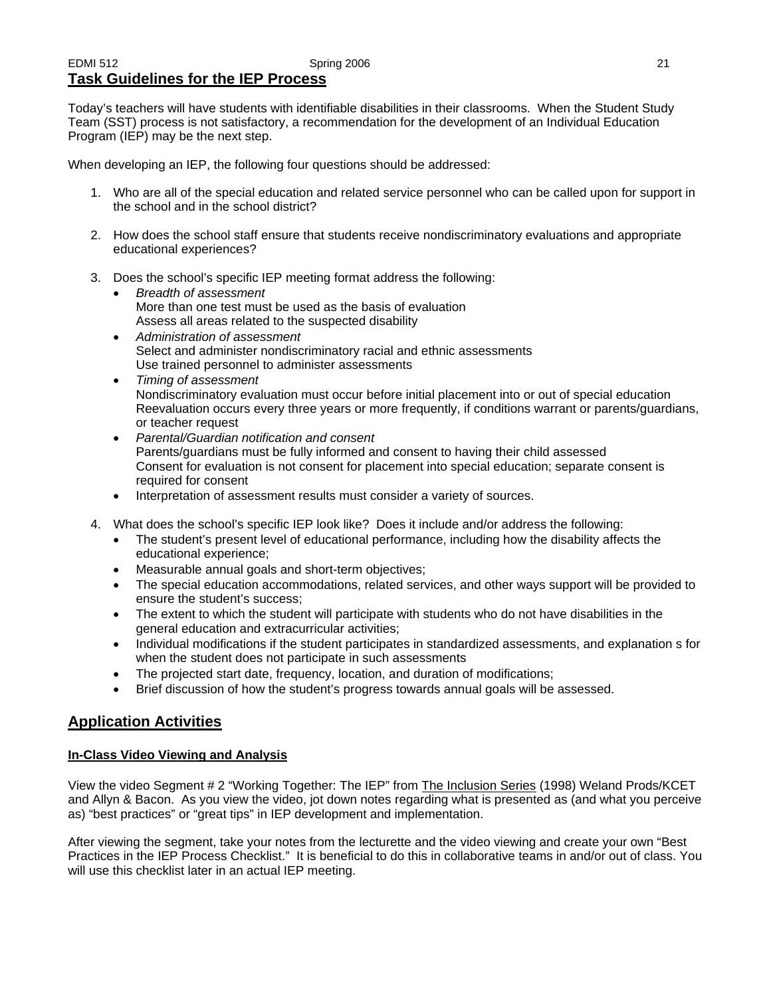#### EDMI 512 Spring 2006 21 **Task Guidelines for the IEP Process**

Today's teachers will have students with identifiable disabilities in their classrooms. When the Student Study Team (SST) process is not satisfactory, a recommendation for the development of an Individual Education Program (IEP) may be the next step.

When developing an IEP, the following four questions should be addressed:

- 1. Who are all of the special education and related service personnel who can be called upon for support in the school and in the school district?
- 2. How does the school staff ensure that students receive nondiscriminatory evaluations and appropriate educational experiences?
- 3. Does the school's specific IEP meeting format address the following:
	- *Breadth of assessment*  More than one test must be used as the basis of evaluation Assess all areas related to the suspected disability
	- *Administration of assessment*  Select and administer nondiscriminatory racial and ethnic assessments Use trained personnel to administer assessments
	- *Timing of assessment*  Nondiscriminatory evaluation must occur before initial placement into or out of special education Reevaluation occurs every three years or more frequently, if conditions warrant or parents/guardians, or teacher request
	- *Parental/Guardian notification and consent*  Parents/guardians must be fully informed and consent to having their child assessed Consent for evaluation is not consent for placement into special education; separate consent is required for consent
	- Interpretation of assessment results must consider a variety of sources.
- 4. What does the school's specific IEP look like? Does it include and/or address the following:
	- The student's present level of educational performance, including how the disability affects the educational experience;
	- Measurable annual goals and short-term objectives;
	- The special education accommodations, related services, and other ways support will be provided to ensure the student's success;
	- The extent to which the student will participate with students who do not have disabilities in the general education and extracurricular activities;
	- Individual modifications if the student participates in standardized assessments, and explanation s for when the student does not participate in such assessments
	- The projected start date, frequency, location, and duration of modifications;
	- Brief discussion of how the student's progress towards annual goals will be assessed.

## **Application Activities**

## **In-Class Video Viewing and Analysis**

View the video Segment # 2 "Working Together: The IEP" from The Inclusion Series (1998) Weland Prods/KCET and Allyn & Bacon. As you view the video, jot down notes regarding what is presented as (and what you perceive as) "best practices" or "great tips" in IEP development and implementation.

After viewing the segment, take your notes from the lecturette and the video viewing and create your own "Best Practices in the IEP Process Checklist." It is beneficial to do this in collaborative teams in and/or out of class. You will use this checklist later in an actual IEP meeting.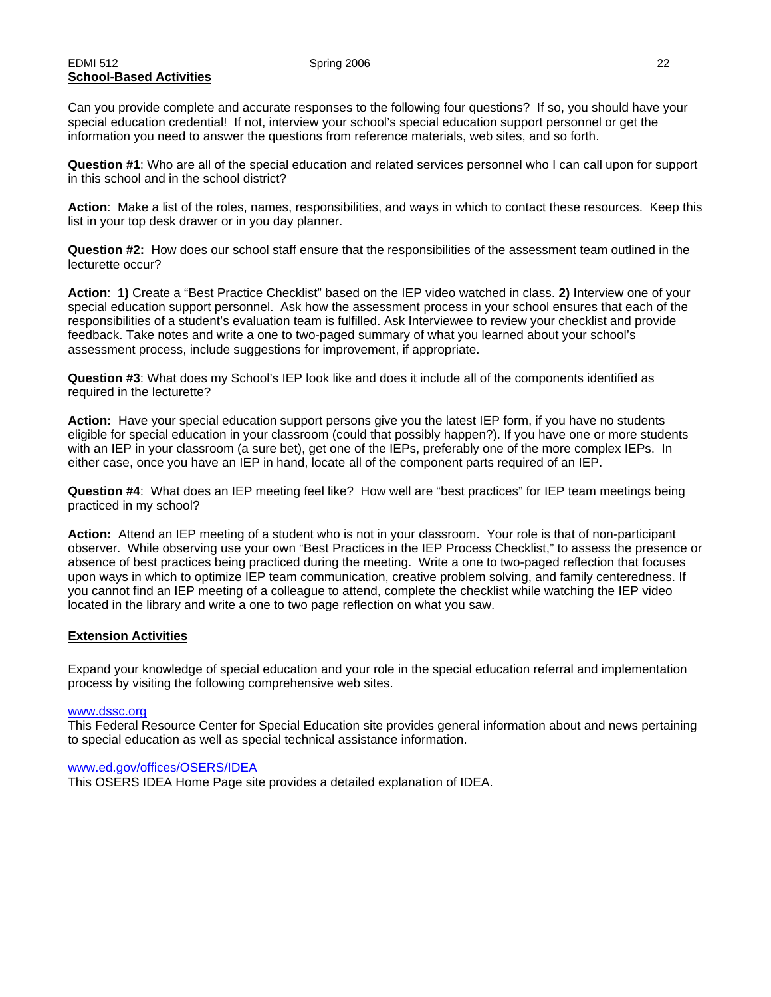#### EDMI 512 Spring 2006 22 **School-Based Activities**

Can you provide complete and accurate responses to the following four questions? If so, you should have your special education credential! If not, interview your school's special education support personnel or get the information you need to answer the questions from reference materials, web sites, and so forth.

**Question #1**: Who are all of the special education and related services personnel who I can call upon for support in this school and in the school district?

**Action**: Make a list of the roles, names, responsibilities, and ways in which to contact these resources. Keep this list in your top desk drawer or in you day planner.

**Question #2:** How does our school staff ensure that the responsibilities of the assessment team outlined in the lecturette occur?

**Action**: **1)** Create a "Best Practice Checklist" based on the IEP video watched in class. **2)** Interview one of your special education support personnel. Ask how the assessment process in your school ensures that each of the responsibilities of a student's evaluation team is fulfilled. Ask Interviewee to review your checklist and provide feedback. Take notes and write a one to two-paged summary of what you learned about your school's assessment process, include suggestions for improvement, if appropriate.

**Question #3**: What does my School's IEP look like and does it include all of the components identified as required in the lecturette?

**Action:** Have your special education support persons give you the latest IEP form, if you have no students eligible for special education in your classroom (could that possibly happen?). If you have one or more students with an IEP in your classroom (a sure bet), get one of the IEPs, preferably one of the more complex IEPs. In either case, once you have an IEP in hand, locate all of the component parts required of an IEP.

**Question #4**: What does an IEP meeting feel like? How well are "best practices" for IEP team meetings being practiced in my school?

**Action:** Attend an IEP meeting of a student who is not in your classroom. Your role is that of non-participant observer. While observing use your own "Best Practices in the IEP Process Checklist," to assess the presence or absence of best practices being practiced during the meeting. Write a one to two-paged reflection that focuses upon ways in which to optimize IEP team communication, creative problem solving, and family centeredness. If you cannot find an IEP meeting of a colleague to attend, complete the checklist while watching the IEP video located in the library and write a one to two page reflection on what you saw.

#### **Extension Activities**

Expand your knowledge of special education and your role in the special education referral and implementation process by visiting the following comprehensive web sites.

#### www.dssc.org

This Federal Resource Center for Special Education site provides general information about and news pertaining to special education as well as special technical assistance information.

#### www.ed.gov/offices/OSERS/IDEA

This OSERS IDEA Home Page site provides a detailed explanation of IDEA.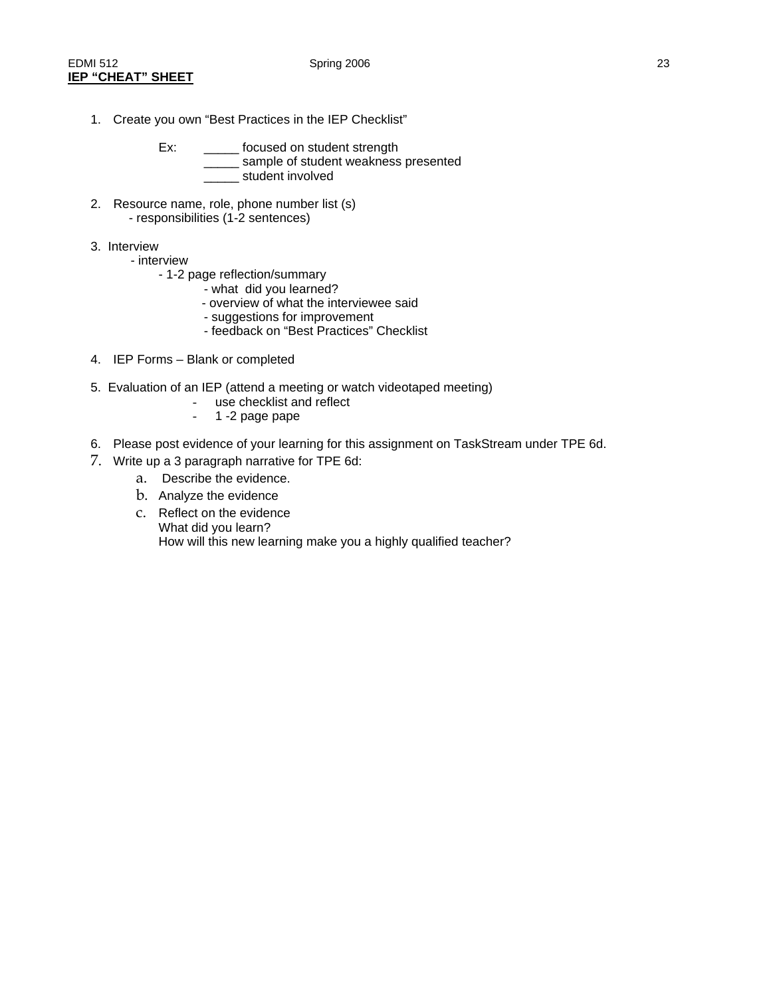- 1. Create you own "Best Practices in the IEP Checklist"
	- Ex: \_\_\_\_\_\_ focused on student strength \_\_\_\_ sample of student weakness presented \_\_\_\_\_ student involved
- 2. Resource name, role, phone number list (s) - responsibilities (1-2 sentences)
- 3. Interview
	- interview
		- 1-2 page reflection/summary
			- what did you learned?
			- overview of what the interviewee said
			- suggestions for improvement
			- feedback on "Best Practices" Checklist
- 4. IEP Forms Blank or completed
- 5. Evaluation of an IEP (attend a meeting or watch videotaped meeting)
	- use checklist and reflect
	- 1 -2 page pape
- 6. Please post evidence of your learning for this assignment on TaskStream under TPE 6d.
- 7. Write up a 3 paragraph narrative for TPE 6d:
	- a. Describe the evidence.
	- b. Analyze the evidence
	- c. Reflect on the evidence What did you learn? How will this new learning make you a highly qualified teacher?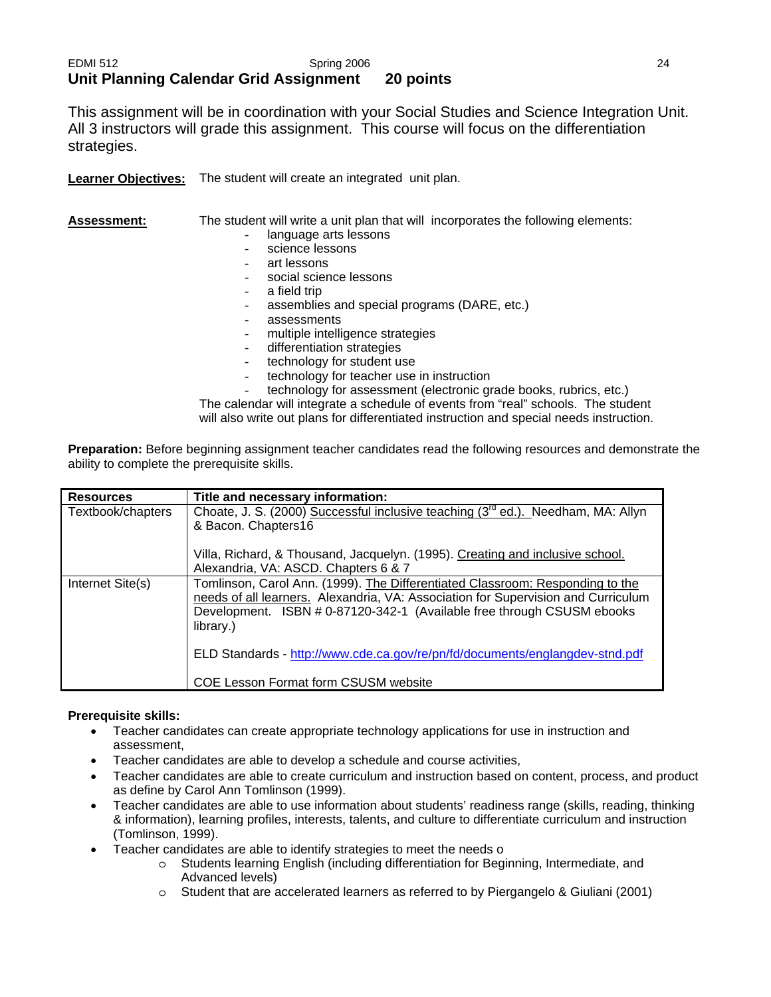## EDMI 512 Spring 2006 24 **Unit Planning Calendar Grid Assignment 20 points**

This assignment will be in coordination with your Social Studies and Science Integration Unit. All 3 instructors will grade this assignment. This course will focus on the differentiation strategies.

**Learner Objectives:** The student will create an integrated unit plan.

| <b>Assessment:</b> | The student will write a unit plan that will incorporates the following elements: |
|--------------------|-----------------------------------------------------------------------------------|
|                    | language arts lessons                                                             |
|                    | science lessons                                                                   |
|                    | art lessons                                                                       |
|                    | social science lessons                                                            |
|                    | a field trip                                                                      |
|                    | assemblies and special programs (DARE, etc.)                                      |
|                    | assessments                                                                       |
|                    | multiple intelligence strategies                                                  |
|                    | differentiation strategies                                                        |
|                    | technology for student use                                                        |
|                    | technology for teacher use in instruction                                         |
|                    | technology for assessment (electronic grade books, rubrics, etc.)                 |
|                    |                                                                                   |

The calendar will integrate a schedule of events from "real" schools. The student will also write out plans for differentiated instruction and special needs instruction.

**Preparation:** Before beginning assignment teacher candidates read the following resources and demonstrate the ability to complete the prerequisite skills.

| <b>Resources</b>  | Title and necessary information:                                                                                                                                                                                                                          |
|-------------------|-----------------------------------------------------------------------------------------------------------------------------------------------------------------------------------------------------------------------------------------------------------|
| Textbook/chapters | Choate, J. S. (2000) Successful inclusive teaching (3 <sup>rd</sup> ed.). Needham, MA: Allyn<br>& Bacon. Chapters16                                                                                                                                       |
|                   | Villa, Richard, & Thousand, Jacquelyn. (1995). Creating and inclusive school.<br>Alexandria, VA: ASCD. Chapters 6 & 7                                                                                                                                     |
| Internet Site(s)  | Tomlinson, Carol Ann. (1999). The Differentiated Classroom: Responding to the<br>needs of all learners. Alexandria, VA: Association for Supervision and Curriculum<br>Development. ISBN # 0-87120-342-1 (Available free through CSUSM ebooks<br>library.) |
|                   | ELD Standards - http://www.cde.ca.gov/re/pn/fd/documents/englangdev-stnd.pdf                                                                                                                                                                              |
|                   | COE Lesson Format form CSUSM website                                                                                                                                                                                                                      |

#### **Prerequisite skills:**

- Teacher candidates can create appropriate technology applications for use in instruction and assessment,
- Teacher candidates are able to develop a schedule and course activities,
- Teacher candidates are able to create curriculum and instruction based on content, process, and product as define by Carol Ann Tomlinson (1999).
- Teacher candidates are able to use information about students' readiness range (skills, reading, thinking & information), learning profiles, interests, talents, and culture to differentiate curriculum and instruction (Tomlinson, 1999).
- Teacher candidates are able to identify strategies to meet the needs o
	- o Students learning English (including differentiation for Beginning, Intermediate, and Advanced levels)
	- o Student that are accelerated learners as referred to by Piergangelo & Giuliani (2001)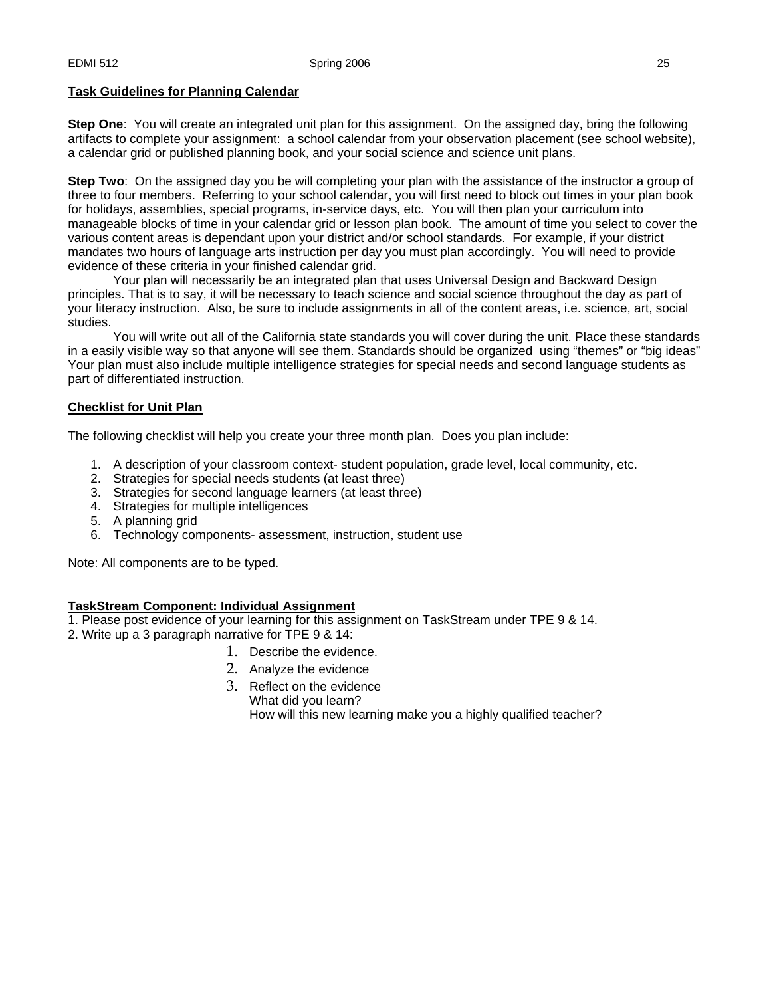#### **Task Guidelines for Planning Calendar**

**Step One**: You will create an integrated unit plan for this assignment. On the assigned day, bring the following artifacts to complete your assignment: a school calendar from your observation placement (see school website), a calendar grid or published planning book, and your social science and science unit plans.

**Step Two**: On the assigned day you be will completing your plan with the assistance of the instructor a group of three to four members. Referring to your school calendar, you will first need to block out times in your plan book for holidays, assemblies, special programs, in-service days, etc. You will then plan your curriculum into manageable blocks of time in your calendar grid or lesson plan book. The amount of time you select to cover the various content areas is dependant upon your district and/or school standards. For example, if your district mandates two hours of language arts instruction per day you must plan accordingly. You will need to provide evidence of these criteria in your finished calendar grid.

 Your plan will necessarily be an integrated plan that uses Universal Design and Backward Design principles. That is to say, it will be necessary to teach science and social science throughout the day as part of your literacy instruction. Also, be sure to include assignments in all of the content areas, i.e. science, art, social studies.

 You will write out all of the California state standards you will cover during the unit. Place these standards in a easily visible way so that anyone will see them. Standards should be organized using "themes" or "big ideas" Your plan must also include multiple intelligence strategies for special needs and second language students as part of differentiated instruction.

#### **Checklist for Unit Plan**

The following checklist will help you create your three month plan. Does you plan include:

- 1. A description of your classroom context- student population, grade level, local community, etc.
- 2. Strategies for special needs students (at least three)
- 3. Strategies for second language learners (at least three)
- 4. Strategies for multiple intelligences
- 5. A planning grid
- 6. Technology components- assessment, instruction, student use

Note: All components are to be typed.

#### **TaskStream Component: Individual Assignment**

1. Please post evidence of your learning for this assignment on TaskStream under TPE 9 & 14.

- 2. Write up a 3 paragraph narrative for TPE 9 & 14:
	- 1. Describe the evidence.
	- 2. Analyze the evidence
	- 3. Reflect on the evidence What did you learn? How will this new learning make you a highly qualified teacher?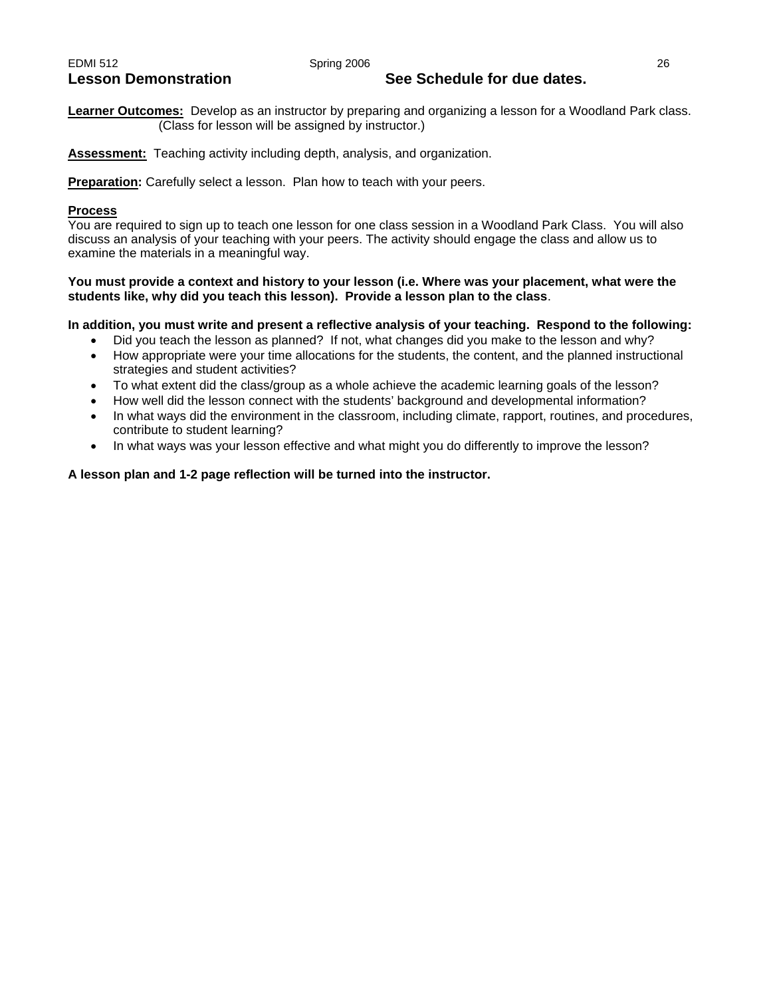## Lesson Demonstration **See Schedule for due dates.**

**Learner Outcomes:** Develop as an instructor by preparing and organizing a lesson for a Woodland Park class. (Class for lesson will be assigned by instructor.)

**Assessment:** Teaching activity including depth, analysis, and organization.

**Preparation:** Carefully select a lesson. Plan how to teach with your peers.

#### **Process**

You are required to sign up to teach one lesson for one class session in a Woodland Park Class. You will also discuss an analysis of your teaching with your peers. The activity should engage the class and allow us to examine the materials in a meaningful way.

#### **You must provide a context and history to your lesson (i.e. Where was your placement, what were the students like, why did you teach this lesson). Provide a lesson plan to the class**.

#### **In addition, you must write and present a reflective analysis of your teaching. Respond to the following:**

- Did you teach the lesson as planned? If not, what changes did you make to the lesson and why?
- How appropriate were your time allocations for the students, the content, and the planned instructional strategies and student activities?
- To what extent did the class/group as a whole achieve the academic learning goals of the lesson?
- How well did the lesson connect with the students' background and developmental information?
- In what ways did the environment in the classroom, including climate, rapport, routines, and procedures, contribute to student learning?
- In what ways was your lesson effective and what might you do differently to improve the lesson?

#### **A lesson plan and 1-2 page reflection will be turned into the instructor.**